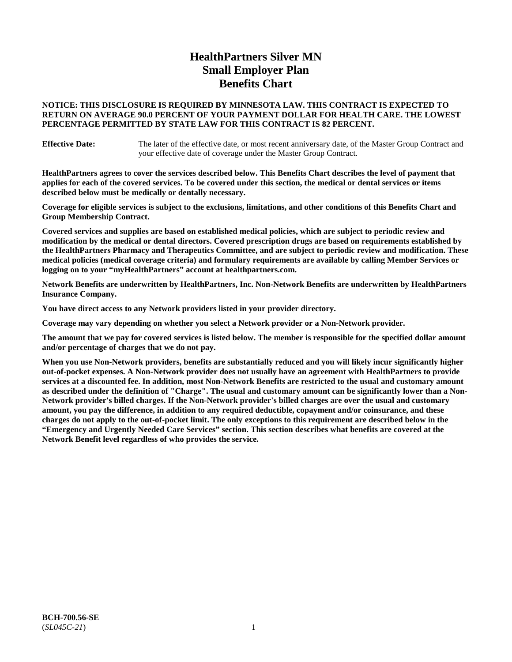# **HealthPartners Silver MN Small Employer Plan Benefits Chart**

### **NOTICE: THIS DISCLOSURE IS REQUIRED BY MINNESOTA LAW. THIS CONTRACT IS EXPECTED TO RETURN ON AVERAGE 90.0 PERCENT OF YOUR PAYMENT DOLLAR FOR HEALTH CARE. THE LOWEST PERCENTAGE PERMITTED BY STATE LAW FOR THIS CONTRACT IS 82 PERCENT.**

**Effective Date:** The later of the effective date, or most recent anniversary date, of the Master Group Contract and your effective date of coverage under the Master Group Contract.

**HealthPartners agrees to cover the services described below. This Benefits Chart describes the level of payment that applies for each of the covered services. To be covered under this section, the medical or dental services or items described below must be medically or dentally necessary.**

**Coverage for eligible services is subject to the exclusions, limitations, and other conditions of this Benefits Chart and Group Membership Contract.**

**Covered services and supplies are based on established medical policies, which are subject to periodic review and modification by the medical or dental directors. Covered prescription drugs are based on requirements established by the HealthPartners Pharmacy and Therapeutics Committee, and are subject to periodic review and modification. These medical policies (medical coverage criteria) and formulary requirements are available by calling Member Services or logging on to your "myHealthPartners" account at [healthpartners.com.](https://www.healthpartners.com/hp/index.html)**

**Network Benefits are underwritten by HealthPartners, Inc. Non-Network Benefits are underwritten by HealthPartners Insurance Company.** 

**You have direct access to any Network providers listed in your provider directory.**

**Coverage may vary depending on whether you select a Network provider or a Non-Network provider.**

**The amount that we pay for covered services is listed below. The member is responsible for the specified dollar amount and/or percentage of charges that we do not pay.**

**When you use Non-Network providers, benefits are substantially reduced and you will likely incur significantly higher out-of-pocket expenses. A Non-Network provider does not usually have an agreement with HealthPartners to provide services at a discounted fee. In addition, most Non-Network Benefits are restricted to the usual and customary amount as described under the definition of "Charge". The usual and customary amount can be significantly lower than a Non-Network provider's billed charges. If the Non-Network provider's billed charges are over the usual and customary amount, you pay the difference, in addition to any required deductible, copayment and/or coinsurance, and these charges do not apply to the out-of-pocket limit. The only exceptions to this requirement are described below in the "Emergency and Urgently Needed Care Services" section. This section describes what benefits are covered at the Network Benefit level regardless of who provides the service.**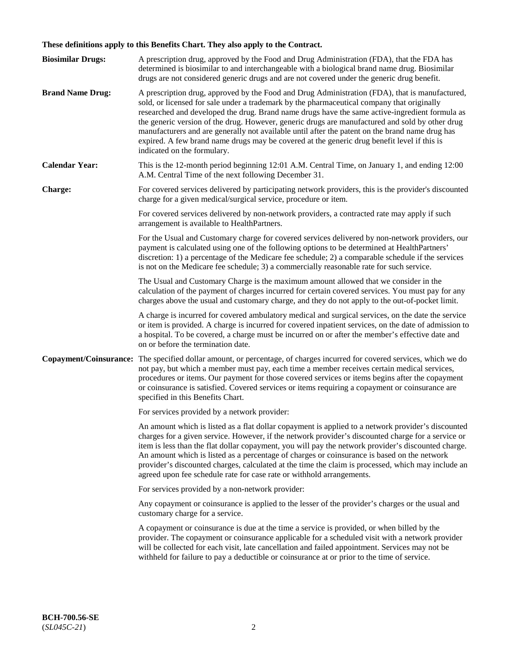# **These definitions apply to this Benefits Chart. They also apply to the Contract.**

| <b>Biosimilar Drugs:</b> | A prescription drug, approved by the Food and Drug Administration (FDA), that the FDA has<br>determined is biosimilar to and interchangeable with a biological brand name drug. Biosimilar<br>drugs are not considered generic drugs and are not covered under the generic drug benefit.                                                                                                                                                                                                                                                                                                                                           |
|--------------------------|------------------------------------------------------------------------------------------------------------------------------------------------------------------------------------------------------------------------------------------------------------------------------------------------------------------------------------------------------------------------------------------------------------------------------------------------------------------------------------------------------------------------------------------------------------------------------------------------------------------------------------|
| <b>Brand Name Drug:</b>  | A prescription drug, approved by the Food and Drug Administration (FDA), that is manufactured,<br>sold, or licensed for sale under a trademark by the pharmaceutical company that originally<br>researched and developed the drug. Brand name drugs have the same active-ingredient formula as<br>the generic version of the drug. However, generic drugs are manufactured and sold by other drug<br>manufacturers and are generally not available until after the patent on the brand name drug has<br>expired. A few brand name drugs may be covered at the generic drug benefit level if this is<br>indicated on the formulary. |
| <b>Calendar Year:</b>    | This is the 12-month period beginning 12:01 A.M. Central Time, on January 1, and ending 12:00<br>A.M. Central Time of the next following December 31.                                                                                                                                                                                                                                                                                                                                                                                                                                                                              |
| <b>Charge:</b>           | For covered services delivered by participating network providers, this is the provider's discounted<br>charge for a given medical/surgical service, procedure or item.                                                                                                                                                                                                                                                                                                                                                                                                                                                            |
|                          | For covered services delivered by non-network providers, a contracted rate may apply if such<br>arrangement is available to HealthPartners.                                                                                                                                                                                                                                                                                                                                                                                                                                                                                        |
|                          | For the Usual and Customary charge for covered services delivered by non-network providers, our<br>payment is calculated using one of the following options to be determined at HealthPartners'<br>discretion: 1) a percentage of the Medicare fee schedule; 2) a comparable schedule if the services<br>is not on the Medicare fee schedule; 3) a commercially reasonable rate for such service.                                                                                                                                                                                                                                  |
|                          | The Usual and Customary Charge is the maximum amount allowed that we consider in the<br>calculation of the payment of charges incurred for certain covered services. You must pay for any<br>charges above the usual and customary charge, and they do not apply to the out-of-pocket limit.                                                                                                                                                                                                                                                                                                                                       |
|                          | A charge is incurred for covered ambulatory medical and surgical services, on the date the service<br>or item is provided. A charge is incurred for covered inpatient services, on the date of admission to<br>a hospital. To be covered, a charge must be incurred on or after the member's effective date and<br>on or before the termination date.                                                                                                                                                                                                                                                                              |
| Copayment/Coinsurance:   | The specified dollar amount, or percentage, of charges incurred for covered services, which we do<br>not pay, but which a member must pay, each time a member receives certain medical services,<br>procedures or items. Our payment for those covered services or items begins after the copayment<br>or coinsurance is satisfied. Covered services or items requiring a copayment or coinsurance are<br>specified in this Benefits Chart.                                                                                                                                                                                        |
|                          | For services provided by a network provider:                                                                                                                                                                                                                                                                                                                                                                                                                                                                                                                                                                                       |
|                          | An amount which is listed as a flat dollar copayment is applied to a network provider's discounted<br>charges for a given service. However, if the network provider's discounted charge for a service or<br>item is less than the flat dollar copayment, you will pay the network provider's discounted charge.<br>An amount which is listed as a percentage of charges or coinsurance is based on the network<br>provider's discounted charges, calculated at the time the claim is processed, which may include an<br>agreed upon fee schedule rate for case rate or withhold arrangements.                                      |
|                          | For services provided by a non-network provider:                                                                                                                                                                                                                                                                                                                                                                                                                                                                                                                                                                                   |
|                          | Any copayment or coinsurance is applied to the lesser of the provider's charges or the usual and<br>customary charge for a service.                                                                                                                                                                                                                                                                                                                                                                                                                                                                                                |
|                          | A copayment or coinsurance is due at the time a service is provided, or when billed by the<br>provider. The copayment or coinsurance applicable for a scheduled visit with a network provider<br>will be collected for each visit, late cancellation and failed appointment. Services may not be<br>withheld for failure to pay a deductible or coinsurance at or prior to the time of service.                                                                                                                                                                                                                                    |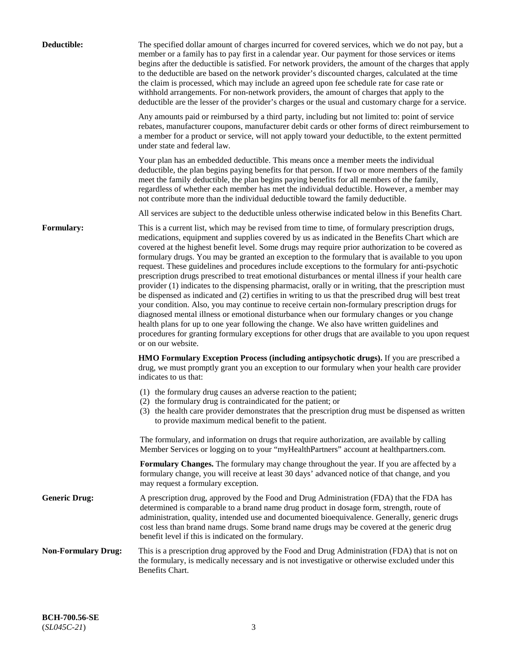| Deductible:                | The specified dollar amount of charges incurred for covered services, which we do not pay, but a<br>member or a family has to pay first in a calendar year. Our payment for those services or items<br>begins after the deductible is satisfied. For network providers, the amount of the charges that apply<br>to the deductible are based on the network provider's discounted charges, calculated at the time<br>the claim is processed, which may include an agreed upon fee schedule rate for case rate or<br>withhold arrangements. For non-network providers, the amount of charges that apply to the<br>deductible are the lesser of the provider's charges or the usual and customary charge for a service.                                                                                                                                                                                                                                                                                                                                                                                                                                                                                                                                             |
|----------------------------|------------------------------------------------------------------------------------------------------------------------------------------------------------------------------------------------------------------------------------------------------------------------------------------------------------------------------------------------------------------------------------------------------------------------------------------------------------------------------------------------------------------------------------------------------------------------------------------------------------------------------------------------------------------------------------------------------------------------------------------------------------------------------------------------------------------------------------------------------------------------------------------------------------------------------------------------------------------------------------------------------------------------------------------------------------------------------------------------------------------------------------------------------------------------------------------------------------------------------------------------------------------|
|                            | Any amounts paid or reimbursed by a third party, including but not limited to: point of service<br>rebates, manufacturer coupons, manufacturer debit cards or other forms of direct reimbursement to<br>a member for a product or service, will not apply toward your deductible, to the extent permitted<br>under state and federal law.                                                                                                                                                                                                                                                                                                                                                                                                                                                                                                                                                                                                                                                                                                                                                                                                                                                                                                                        |
|                            | Your plan has an embedded deductible. This means once a member meets the individual<br>deductible, the plan begins paying benefits for that person. If two or more members of the family<br>meet the family deductible, the plan begins paying benefits for all members of the family,<br>regardless of whether each member has met the individual deductible. However, a member may<br>not contribute more than the individual deductible toward the family deductible.                                                                                                                                                                                                                                                                                                                                                                                                                                                                                                                                                                                                                                                                                                                                                                                         |
|                            | All services are subject to the deductible unless otherwise indicated below in this Benefits Chart.                                                                                                                                                                                                                                                                                                                                                                                                                                                                                                                                                                                                                                                                                                                                                                                                                                                                                                                                                                                                                                                                                                                                                              |
| <b>Formulary:</b>          | This is a current list, which may be revised from time to time, of formulary prescription drugs,<br>medications, equipment and supplies covered by us as indicated in the Benefits Chart which are<br>covered at the highest benefit level. Some drugs may require prior authorization to be covered as<br>formulary drugs. You may be granted an exception to the formulary that is available to you upon<br>request. These guidelines and procedures include exceptions to the formulary for anti-psychotic<br>prescription drugs prescribed to treat emotional disturbances or mental illness if your health care<br>provider (1) indicates to the dispensing pharmacist, orally or in writing, that the prescription must<br>be dispensed as indicated and (2) certifies in writing to us that the prescribed drug will best treat<br>your condition. Also, you may continue to receive certain non-formulary prescription drugs for<br>diagnosed mental illness or emotional disturbance when our formulary changes or you change<br>health plans for up to one year following the change. We also have written guidelines and<br>procedures for granting formulary exceptions for other drugs that are available to you upon request<br>or on our website. |
|                            | <b>HMO Formulary Exception Process (including antipsychotic drugs).</b> If you are prescribed a<br>drug, we must promptly grant you an exception to our formulary when your health care provider<br>indicates to us that:                                                                                                                                                                                                                                                                                                                                                                                                                                                                                                                                                                                                                                                                                                                                                                                                                                                                                                                                                                                                                                        |
|                            | (1) the formulary drug causes an adverse reaction to the patient;<br>(2) the formulary drug is contraindicated for the patient; or<br>(3) the health care provider demonstrates that the prescription drug must be dispensed as written<br>to provide maximum medical benefit to the patient.                                                                                                                                                                                                                                                                                                                                                                                                                                                                                                                                                                                                                                                                                                                                                                                                                                                                                                                                                                    |
|                            | The formulary, and information on drugs that require authorization, are available by calling<br>Member Services or logging on to your "myHealthPartners" account at healthpartners.com.                                                                                                                                                                                                                                                                                                                                                                                                                                                                                                                                                                                                                                                                                                                                                                                                                                                                                                                                                                                                                                                                          |
|                            | Formulary Changes. The formulary may change throughout the year. If you are affected by a<br>formulary change, you will receive at least 30 days' advanced notice of that change, and you<br>may request a formulary exception.                                                                                                                                                                                                                                                                                                                                                                                                                                                                                                                                                                                                                                                                                                                                                                                                                                                                                                                                                                                                                                  |
| <b>Generic Drug:</b>       | A prescription drug, approved by the Food and Drug Administration (FDA) that the FDA has<br>determined is comparable to a brand name drug product in dosage form, strength, route of<br>administration, quality, intended use and documented bioequivalence. Generally, generic drugs<br>cost less than brand name drugs. Some brand name drugs may be covered at the generic drug<br>benefit level if this is indicated on the formulary.                                                                                                                                                                                                                                                                                                                                                                                                                                                                                                                                                                                                                                                                                                                                                                                                                       |
| <b>Non-Formulary Drug:</b> | This is a prescription drug approved by the Food and Drug Administration (FDA) that is not on<br>the formulary, is medically necessary and is not investigative or otherwise excluded under this<br>Benefits Chart.                                                                                                                                                                                                                                                                                                                                                                                                                                                                                                                                                                                                                                                                                                                                                                                                                                                                                                                                                                                                                                              |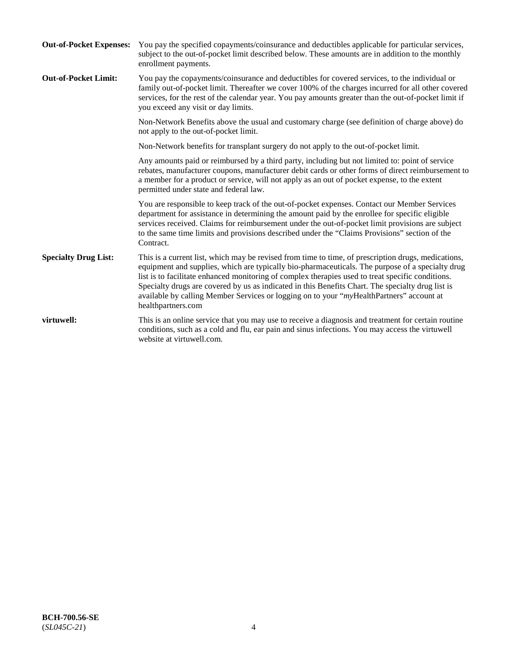| <b>Out-of-Pocket Expenses:</b> | You pay the specified copayments/coinsurance and deductibles applicable for particular services,<br>subject to the out-of-pocket limit described below. These amounts are in addition to the monthly<br>enrollment payments.                                                                                                                                                                                                                                                                                                        |
|--------------------------------|-------------------------------------------------------------------------------------------------------------------------------------------------------------------------------------------------------------------------------------------------------------------------------------------------------------------------------------------------------------------------------------------------------------------------------------------------------------------------------------------------------------------------------------|
| <b>Out-of-Pocket Limit:</b>    | You pay the copayments/coinsurance and deductibles for covered services, to the individual or<br>family out-of-pocket limit. Thereafter we cover 100% of the charges incurred for all other covered<br>services, for the rest of the calendar year. You pay amounts greater than the out-of-pocket limit if<br>you exceed any visit or day limits.                                                                                                                                                                                  |
|                                | Non-Network Benefits above the usual and customary charge (see definition of charge above) do<br>not apply to the out-of-pocket limit.                                                                                                                                                                                                                                                                                                                                                                                              |
|                                | Non-Network benefits for transplant surgery do not apply to the out-of-pocket limit.                                                                                                                                                                                                                                                                                                                                                                                                                                                |
|                                | Any amounts paid or reimbursed by a third party, including but not limited to: point of service<br>rebates, manufacturer coupons, manufacturer debit cards or other forms of direct reimbursement to<br>a member for a product or service, will not apply as an out of pocket expense, to the extent<br>permitted under state and federal law.                                                                                                                                                                                      |
|                                | You are responsible to keep track of the out-of-pocket expenses. Contact our Member Services<br>department for assistance in determining the amount paid by the enrollee for specific eligible<br>services received. Claims for reimbursement under the out-of-pocket limit provisions are subject<br>to the same time limits and provisions described under the "Claims Provisions" section of the<br>Contract.                                                                                                                    |
| <b>Specialty Drug List:</b>    | This is a current list, which may be revised from time to time, of prescription drugs, medications,<br>equipment and supplies, which are typically bio-pharmaceuticals. The purpose of a specialty drug<br>list is to facilitate enhanced monitoring of complex therapies used to treat specific conditions.<br>Specialty drugs are covered by us as indicated in this Benefits Chart. The specialty drug list is<br>available by calling Member Services or logging on to your "myHealthPartners" account at<br>healthpartners.com |
| virtuwell:                     | This is an online service that you may use to receive a diagnosis and treatment for certain routine<br>conditions, such as a cold and flu, ear pain and sinus infections. You may access the virtuwell<br>website at virtuwell.com.                                                                                                                                                                                                                                                                                                 |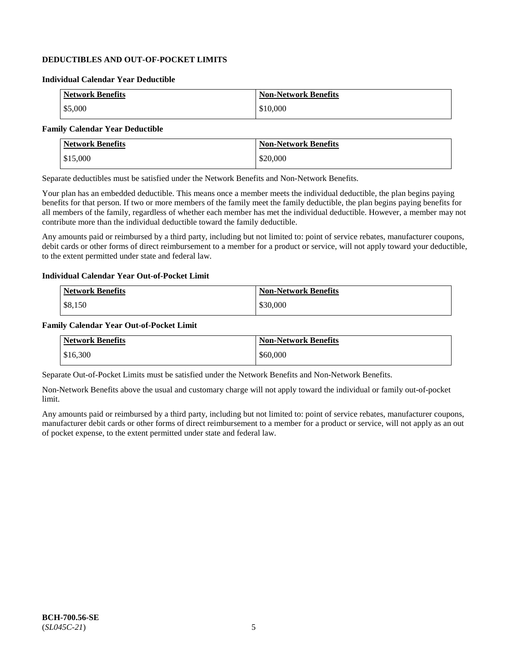## **DEDUCTIBLES AND OUT-OF-POCKET LIMITS**

### **Individual Calendar Year Deductible**

| <b>Network Benefits</b> | <b>Non-Network Benefits</b> |
|-------------------------|-----------------------------|
| \$5,000                 | \$10,000                    |

### **Family Calendar Year Deductible**

| <b>Network Benefits</b> | <b>Non-Network Benefits</b> |
|-------------------------|-----------------------------|
| $\vert$ \$15,000        | \$20,000                    |

Separate deductibles must be satisfied under the Network Benefits and Non-Network Benefits.

Your plan has an embedded deductible. This means once a member meets the individual deductible, the plan begins paying benefits for that person. If two or more members of the family meet the family deductible, the plan begins paying benefits for all members of the family, regardless of whether each member has met the individual deductible. However, a member may not contribute more than the individual deductible toward the family deductible.

Any amounts paid or reimbursed by a third party, including but not limited to: point of service rebates, manufacturer coupons, debit cards or other forms of direct reimbursement to a member for a product or service, will not apply toward your deductible, to the extent permitted under state and federal law.

#### **Individual Calendar Year Out-of-Pocket Limit**

| <b>Network Benefits</b> | <b>Non-Network Benefits</b> |
|-------------------------|-----------------------------|
| \$8,150                 | \$30,000                    |

#### **Family Calendar Year Out-of-Pocket Limit**

| <b>Network Benefits</b> | Non-Network Benefits |
|-------------------------|----------------------|
| \$16,300                | \$60,000             |

Separate Out-of-Pocket Limits must be satisfied under the Network Benefits and Non-Network Benefits.

Non-Network Benefits above the usual and customary charge will not apply toward the individual or family out-of-pocket limit.

Any amounts paid or reimbursed by a third party, including but not limited to: point of service rebates, manufacturer coupons, manufacturer debit cards or other forms of direct reimbursement to a member for a product or service, will not apply as an out of pocket expense, to the extent permitted under state and federal law.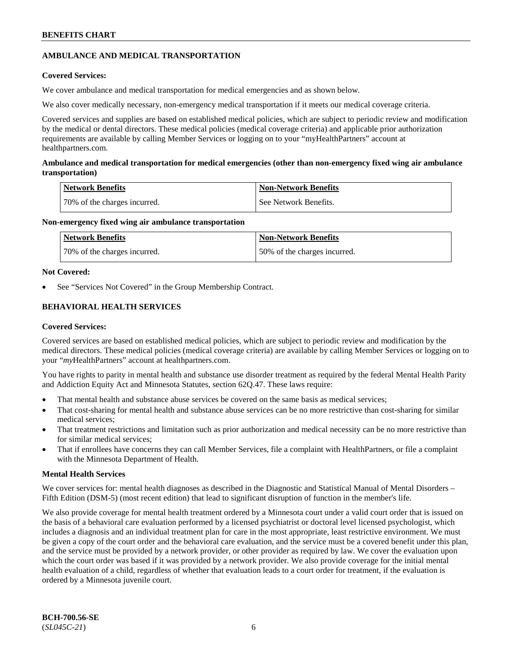## **AMBULANCE AND MEDICAL TRANSPORTATION**

### **Covered Services:**

We cover ambulance and medical transportation for medical emergencies and as shown below.

We also cover medically necessary, non-emergency medical transportation if it meets our medical coverage criteria.

Covered services and supplies are based on established medical policies, which are subject to periodic review and modification by the medical or dental directors. These medical policies (medical coverage criteria) and applicable prior authorization requirements are available by calling Member Services or logging on to your "myHealthPartners" account at [healthpartners.com.](https://www.healthpartners.com/hp/index.html)

### **Ambulance and medical transportation for medical emergencies (other than non-emergency fixed wing air ambulance transportation)**

| Network Benefits             | <b>Non-Network Benefits</b> |
|------------------------------|-----------------------------|
| 70% of the charges incurred. | See Network Benefits.       |

### **Non-emergency fixed wing air ambulance transportation**

| Network Benefits             | <b>Non-Network Benefits</b>  |
|------------------------------|------------------------------|
| 70% of the charges incurred. | 50% of the charges incurred. |

### **Not Covered:**

See "Services Not Covered" in the Group Membership Contract.

## **BEHAVIORAL HEALTH SERVICES**

### **Covered Services:**

Covered services are based on established medical policies, which are subject to periodic review and modification by the medical directors. These medical policies (medical coverage criteria) are available by calling Member Services or logging on to your "*my*HealthPartners" account at [healthpartners.com.](http://www.healthpartners.com/)

You have rights to parity in mental health and substance use disorder treatment as required by the federal Mental Health Parity and Addiction Equity Act and Minnesota Statutes, section 62Q.47. These laws require:

- That mental health and substance abuse services be covered on the same basis as medical services;
- That cost-sharing for mental health and substance abuse services can be no more restrictive than cost-sharing for similar medical services;
- That treatment restrictions and limitation such as prior authorization and medical necessity can be no more restrictive than for similar medical services;
- That if enrollees have concerns they can call Member Services, file a complaint with HealthPartners, or file a complaint with the Minnesota Department of Health.

### **Mental Health Services**

We cover services for: mental health diagnoses as described in the Diagnostic and Statistical Manual of Mental Disorders – Fifth Edition (DSM-5) (most recent edition) that lead to significant disruption of function in the member's life.

We also provide coverage for mental health treatment ordered by a Minnesota court under a valid court order that is issued on the basis of a behavioral care evaluation performed by a licensed psychiatrist or doctoral level licensed psychologist, which includes a diagnosis and an individual treatment plan for care in the most appropriate, least restrictive environment. We must be given a copy of the court order and the behavioral care evaluation, and the service must be a covered benefit under this plan, and the service must be provided by a network provider, or other provider as required by law. We cover the evaluation upon which the court order was based if it was provided by a network provider. We also provide coverage for the initial mental health evaluation of a child, regardless of whether that evaluation leads to a court order for treatment, if the evaluation is ordered by a Minnesota juvenile court.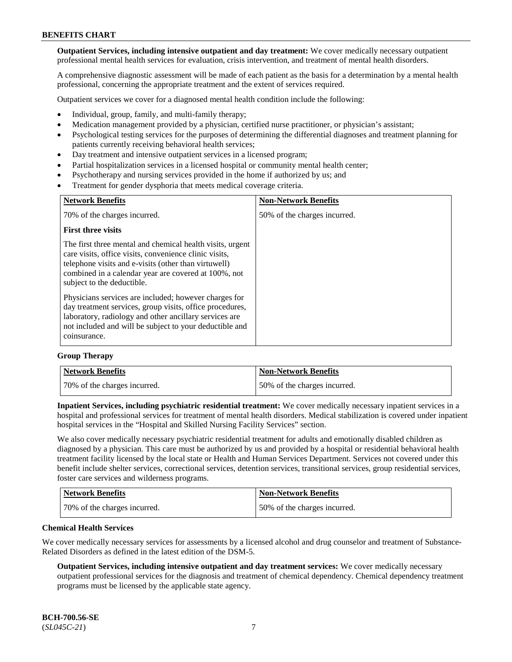**Outpatient Services, including intensive outpatient and day treatment:** We cover medically necessary outpatient professional mental health services for evaluation, crisis intervention, and treatment of mental health disorders.

A comprehensive diagnostic assessment will be made of each patient as the basis for a determination by a mental health professional, concerning the appropriate treatment and the extent of services required.

Outpatient services we cover for a diagnosed mental health condition include the following:

- Individual, group, family, and multi-family therapy;
- Medication management provided by a physician, certified nurse practitioner, or physician's assistant;
- Psychological testing services for the purposes of determining the differential diagnoses and treatment planning for patients currently receiving behavioral health services;
- Day treatment and intensive outpatient services in a licensed program;
- Partial hospitalization services in a licensed hospital or community mental health center;
- Psychotherapy and nursing services provided in the home if authorized by us; and
- Treatment for gender dysphoria that meets medical coverage criteria.

| <b>Network Benefits</b>                                                                                                                                                                                                                                           | <b>Non-Network Benefits</b>  |
|-------------------------------------------------------------------------------------------------------------------------------------------------------------------------------------------------------------------------------------------------------------------|------------------------------|
| 70% of the charges incurred.                                                                                                                                                                                                                                      | 50% of the charges incurred. |
| <b>First three visits</b>                                                                                                                                                                                                                                         |                              |
| The first three mental and chemical health visits, urgent<br>care visits, office visits, convenience clinic visits,<br>telephone visits and e-visits (other than virtuwell)<br>combined in a calendar year are covered at 100%, not<br>subject to the deductible. |                              |
| Physicians services are included; however charges for<br>day treatment services, group visits, office procedures,<br>laboratory, radiology and other ancillary services are<br>not included and will be subject to your deductible and<br>coinsurance.            |                              |

#### **Group Therapy**

| Network Benefits             | <b>Non-Network Benefits</b>  |
|------------------------------|------------------------------|
| 70% of the charges incurred. | 50% of the charges incurred. |

**Inpatient Services, including psychiatric residential treatment:** We cover medically necessary inpatient services in a hospital and professional services for treatment of mental health disorders. Medical stabilization is covered under inpatient hospital services in the "Hospital and Skilled Nursing Facility Services" section.

We also cover medically necessary psychiatric residential treatment for adults and emotionally disabled children as diagnosed by a physician. This care must be authorized by us and provided by a hospital or residential behavioral health treatment facility licensed by the local state or Health and Human Services Department. Services not covered under this benefit include shelter services, correctional services, detention services, transitional services, group residential services, foster care services and wilderness programs.

| <b>Network Benefits</b>      | <b>Non-Network Benefits</b>  |
|------------------------------|------------------------------|
| 70% of the charges incurred. | 50% of the charges incurred. |

#### **Chemical Health Services**

We cover medically necessary services for assessments by a licensed alcohol and drug counselor and treatment of Substance-Related Disorders as defined in the latest edition of the DSM-5.

**Outpatient Services, including intensive outpatient and day treatment services:** We cover medically necessary outpatient professional services for the diagnosis and treatment of chemical dependency. Chemical dependency treatment programs must be licensed by the applicable state agency.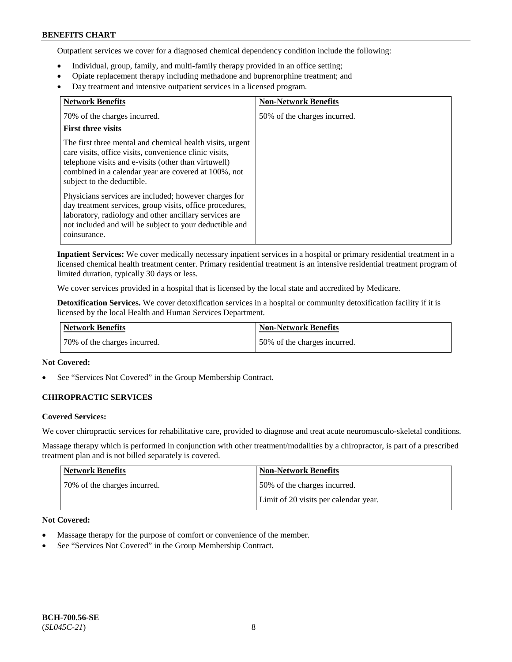Outpatient services we cover for a diagnosed chemical dependency condition include the following:

- Individual, group, family, and multi-family therapy provided in an office setting;
- Opiate replacement therapy including methadone and buprenorphine treatment; and
- Day treatment and intensive outpatient services in a licensed program.

| <b>Network Benefits</b>                                                                                                                                                                                                                                           | <b>Non-Network Benefits</b>  |
|-------------------------------------------------------------------------------------------------------------------------------------------------------------------------------------------------------------------------------------------------------------------|------------------------------|
| 70% of the charges incurred.                                                                                                                                                                                                                                      | 50% of the charges incurred. |
| <b>First three visits</b>                                                                                                                                                                                                                                         |                              |
| The first three mental and chemical health visits, urgent<br>care visits, office visits, convenience clinic visits,<br>telephone visits and e-visits (other than virtuwell)<br>combined in a calendar year are covered at 100%, not<br>subject to the deductible. |                              |
| Physicians services are included; however charges for<br>day treatment services, group visits, office procedures,<br>laboratory, radiology and other ancillary services are<br>not included and will be subject to your deductible and<br>coinsurance.            |                              |

**Inpatient Services:** We cover medically necessary inpatient services in a hospital or primary residential treatment in a licensed chemical health treatment center. Primary residential treatment is an intensive residential treatment program of limited duration, typically 30 days or less.

We cover services provided in a hospital that is licensed by the local state and accredited by Medicare.

**Detoxification Services.** We cover detoxification services in a hospital or community detoxification facility if it is licensed by the local Health and Human Services Department.

| <b>Network Benefits</b>      | Non-Network Benefits         |
|------------------------------|------------------------------|
| 70% of the charges incurred. | 50% of the charges incurred. |

### **Not Covered:**

See "Services Not Covered" in the Group Membership Contract.

### **CHIROPRACTIC SERVICES**

### **Covered Services:**

We cover chiropractic services for rehabilitative care, provided to diagnose and treat acute neuromusculo-skeletal conditions.

Massage therapy which is performed in conjunction with other treatment/modalities by a chiropractor, is part of a prescribed treatment plan and is not billed separately is covered.

| <b>Network Benefits</b>      | <b>Non-Network Benefits</b>           |
|------------------------------|---------------------------------------|
| 70% of the charges incurred. | 50% of the charges incurred.          |
|                              | Limit of 20 visits per calendar year. |

### **Not Covered:**

- Massage therapy for the purpose of comfort or convenience of the member.
- See "Services Not Covered" in the Group Membership Contract.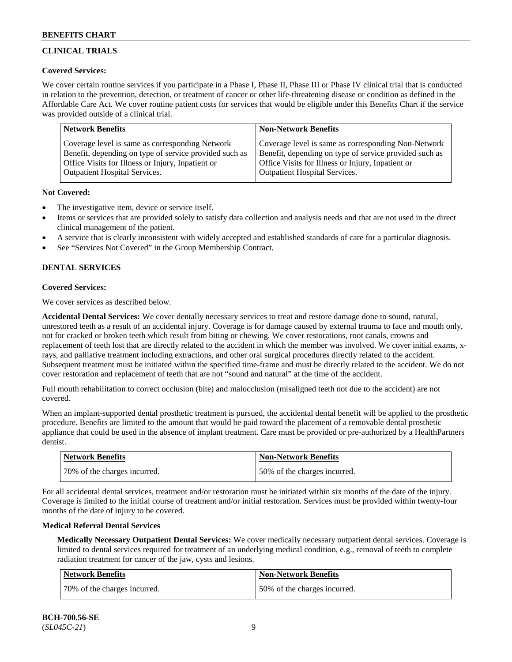## **CLINICAL TRIALS**

### **Covered Services:**

We cover certain routine services if you participate in a Phase I, Phase II, Phase III or Phase IV clinical trial that is conducted in relation to the prevention, detection, or treatment of cancer or other life-threatening disease or condition as defined in the Affordable Care Act. We cover routine patient costs for services that would be eligible under this Benefits Chart if the service was provided outside of a clinical trial.

| <b>Network Benefits</b>                                | <b>Non-Network Benefits</b>                            |
|--------------------------------------------------------|--------------------------------------------------------|
| Coverage level is same as corresponding Network        | Coverage level is same as corresponding Non-Network    |
| Benefit, depending on type of service provided such as | Benefit, depending on type of service provided such as |
| Office Visits for Illness or Injury, Inpatient or      | Office Visits for Illness or Injury, Inpatient or      |
| <b>Outpatient Hospital Services.</b>                   | Outpatient Hospital Services.                          |

### **Not Covered:**

- The investigative item, device or service itself.
- Items or services that are provided solely to satisfy data collection and analysis needs and that are not used in the direct clinical management of the patient.
- A service that is clearly inconsistent with widely accepted and established standards of care for a particular diagnosis.
- See "Services Not Covered" in the Group Membership Contract.

## **DENTAL SERVICES**

## **Covered Services:**

We cover services as described below.

**Accidental Dental Services:** We cover dentally necessary services to treat and restore damage done to sound, natural, unrestored teeth as a result of an accidental injury. Coverage is for damage caused by external trauma to face and mouth only, not for cracked or broken teeth which result from biting or chewing. We cover restorations, root canals, crowns and replacement of teeth lost that are directly related to the accident in which the member was involved. We cover initial exams, xrays, and palliative treatment including extractions, and other oral surgical procedures directly related to the accident. Subsequent treatment must be initiated within the specified time-frame and must be directly related to the accident. We do not cover restoration and replacement of teeth that are not "sound and natural" at the time of the accident.

Full mouth rehabilitation to correct occlusion (bite) and malocclusion (misaligned teeth not due to the accident) are not covered.

When an implant-supported dental prosthetic treatment is pursued, the accidental dental benefit will be applied to the prosthetic procedure. Benefits are limited to the amount that would be paid toward the placement of a removable dental prosthetic appliance that could be used in the absence of implant treatment. Care must be provided or pre-authorized by a HealthPartners dentist.

| <b>Network Benefits</b>      | <b>Non-Network Benefits</b>  |
|------------------------------|------------------------------|
| 70% of the charges incurred. | 50% of the charges incurred. |

For all accidental dental services, treatment and/or restoration must be initiated within six months of the date of the injury. Coverage is limited to the initial course of treatment and/or initial restoration. Services must be provided within twenty-four months of the date of injury to be covered.

### **Medical Referral Dental Services**

**Medically Necessary Outpatient Dental Services:** We cover medically necessary outpatient dental services. Coverage is limited to dental services required for treatment of an underlying medical condition, e.g., removal of teeth to complete radiation treatment for cancer of the jaw, cysts and lesions.

| Network Benefits             | <b>Non-Network Benefits</b>  |
|------------------------------|------------------------------|
| 70% of the charges incurred. | 50% of the charges incurred. |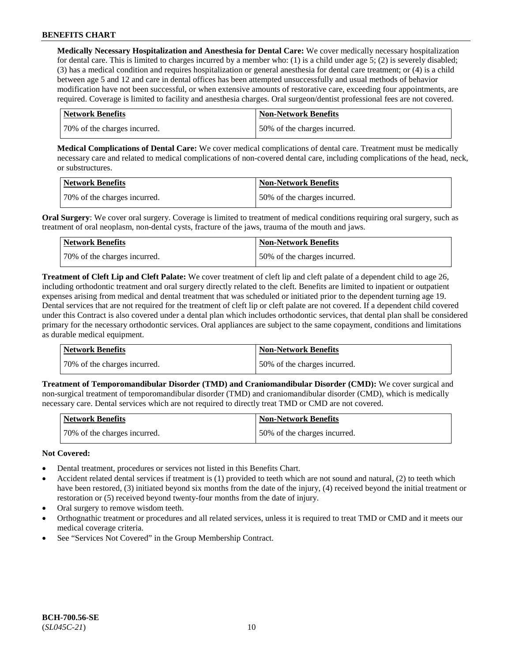**Medically Necessary Hospitalization and Anesthesia for Dental Care:** We cover medically necessary hospitalization for dental care. This is limited to charges incurred by a member who: (1) is a child under age  $5$ ; (2) is severely disabled; (3) has a medical condition and requires hospitalization or general anesthesia for dental care treatment; or (4) is a child between age 5 and 12 and care in dental offices has been attempted unsuccessfully and usual methods of behavior modification have not been successful, or when extensive amounts of restorative care, exceeding four appointments, are required. Coverage is limited to facility and anesthesia charges. Oral surgeon/dentist professional fees are not covered.

| <b>Network Benefits</b>      | <b>Non-Network Benefits</b>  |
|------------------------------|------------------------------|
| 70% of the charges incurred. | 50% of the charges incurred. |

**Medical Complications of Dental Care:** We cover medical complications of dental care. Treatment must be medically necessary care and related to medical complications of non-covered dental care, including complications of the head, neck, or substructures.

| Network Benefits             | Non-Network Benefits         |
|------------------------------|------------------------------|
| 70% of the charges incurred. | 50% of the charges incurred. |

**Oral Surgery**: We cover oral surgery. Coverage is limited to treatment of medical conditions requiring oral surgery, such as treatment of oral neoplasm, non-dental cysts, fracture of the jaws, trauma of the mouth and jaws.

| Network Benefits             | <b>Non-Network Benefits</b>  |
|------------------------------|------------------------------|
| 70% of the charges incurred. | 50% of the charges incurred. |

**Treatment of Cleft Lip and Cleft Palate:** We cover treatment of cleft lip and cleft palate of a dependent child to age 26, including orthodontic treatment and oral surgery directly related to the cleft. Benefits are limited to inpatient or outpatient expenses arising from medical and dental treatment that was scheduled or initiated prior to the dependent turning age 19. Dental services that are not required for the treatment of cleft lip or cleft palate are not covered. If a dependent child covered under this Contract is also covered under a dental plan which includes orthodontic services, that dental plan shall be considered primary for the necessary orthodontic services. Oral appliances are subject to the same copayment, conditions and limitations as durable medical equipment.

| Network Benefits             | Non-Network Benefits         |
|------------------------------|------------------------------|
| 70% of the charges incurred. | 50% of the charges incurred. |

**Treatment of Temporomandibular Disorder (TMD) and Craniomandibular Disorder (CMD):** We cover surgical and non-surgical treatment of temporomandibular disorder (TMD) and craniomandibular disorder (CMD), which is medically necessary care. Dental services which are not required to directly treat TMD or CMD are not covered.

| <b>Network Benefits</b>      | Non-Network Benefits         |
|------------------------------|------------------------------|
| 70% of the charges incurred. | 50% of the charges incurred. |

### **Not Covered:**

- Dental treatment, procedures or services not listed in this Benefits Chart.
- Accident related dental services if treatment is (1) provided to teeth which are not sound and natural, (2) to teeth which have been restored, (3) initiated beyond six months from the date of the injury, (4) received beyond the initial treatment or restoration or (5) received beyond twenty-four months from the date of injury.
- Oral surgery to remove wisdom teeth.
- Orthognathic treatment or procedures and all related services, unless it is required to treat TMD or CMD and it meets our medical coverage criteria.
- See "Services Not Covered" in the Group Membership Contract.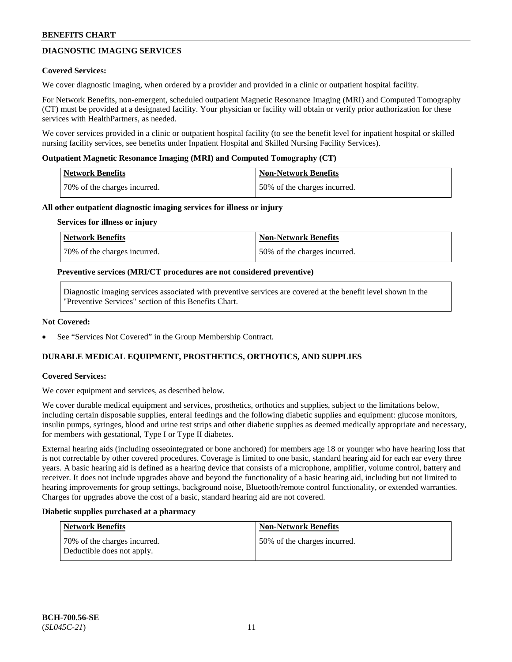## **DIAGNOSTIC IMAGING SERVICES**

#### **Covered Services:**

We cover diagnostic imaging, when ordered by a provider and provided in a clinic or outpatient hospital facility.

For Network Benefits, non-emergent, scheduled outpatient Magnetic Resonance Imaging (MRI) and Computed Tomography (CT) must be provided at a designated facility. Your physician or facility will obtain or verify prior authorization for these services with HealthPartners, as needed.

We cover services provided in a clinic or outpatient hospital facility (to see the benefit level for inpatient hospital or skilled nursing facility services, see benefits under Inpatient Hospital and Skilled Nursing Facility Services).

#### **Outpatient Magnetic Resonance Imaging (MRI) and Computed Tomography (CT)**

| Network Benefits             | <b>Non-Network Benefits</b>  |
|------------------------------|------------------------------|
| 70% of the charges incurred. | 50% of the charges incurred. |

#### **All other outpatient diagnostic imaging services for illness or injury**

#### **Services for illness or injury**

| Network Benefits             | <b>Non-Network Benefits</b>  |
|------------------------------|------------------------------|
| 70% of the charges incurred. | 50% of the charges incurred. |

#### **Preventive services (MRI/CT procedures are not considered preventive)**

Diagnostic imaging services associated with preventive services are covered at the benefit level shown in the "Preventive Services" section of this Benefits Chart.

#### **Not Covered:**

See "Services Not Covered" in the Group Membership Contract.

### **DURABLE MEDICAL EQUIPMENT, PROSTHETICS, ORTHOTICS, AND SUPPLIES**

### **Covered Services:**

We cover equipment and services, as described below.

We cover durable medical equipment and services, prosthetics, orthotics and supplies, subject to the limitations below, including certain disposable supplies, enteral feedings and the following diabetic supplies and equipment: glucose monitors, insulin pumps, syringes, blood and urine test strips and other diabetic supplies as deemed medically appropriate and necessary, for members with gestational, Type I or Type II diabetes.

External hearing aids (including osseointegrated or bone anchored) for members age 18 or younger who have hearing loss that is not correctable by other covered procedures. Coverage is limited to one basic, standard hearing aid for each ear every three years. A basic hearing aid is defined as a hearing device that consists of a microphone, amplifier, volume control, battery and receiver. It does not include upgrades above and beyond the functionality of a basic hearing aid, including but not limited to hearing improvements for group settings, background noise, Bluetooth/remote control functionality, or extended warranties. Charges for upgrades above the cost of a basic, standard hearing aid are not covered.

#### **Diabetic supplies purchased at a pharmacy**

| <b>Network Benefits</b>                                     | <b>Non-Network Benefits</b>   |
|-------------------------------------------------------------|-------------------------------|
| 170% of the charges incurred.<br>Deductible does not apply. | 150% of the charges incurred. |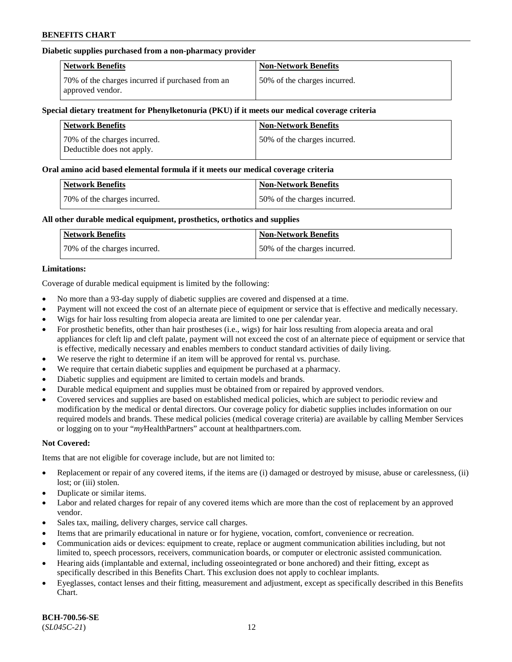### **Diabetic supplies purchased from a non-pharmacy provider**

| <b>Network Benefits</b>                                              | <b>Non-Network Benefits</b>  |
|----------------------------------------------------------------------|------------------------------|
| 70% of the charges incurred if purchased from an<br>approved vendor. | 50% of the charges incurred. |

#### **Special dietary treatment for Phenylketonuria (PKU) if it meets our medical coverage criteria**

| <b>Network Benefits</b>                                     | <b>Non-Network Benefits</b>  |
|-------------------------------------------------------------|------------------------------|
| 70\% of the charges incurred.<br>Deductible does not apply. | 50% of the charges incurred. |

#### **Oral amino acid based elemental formula if it meets our medical coverage criteria**

| <b>Network Benefits</b>      | <b>Non-Network Benefits</b>  |
|------------------------------|------------------------------|
| 70% of the charges incurred. | 50% of the charges incurred. |

### **All other durable medical equipment, prosthetics, orthotics and supplies**

| <b>Network Benefits</b>      | <b>Non-Network Benefits</b>  |
|------------------------------|------------------------------|
| 70% of the charges incurred. | 50% of the charges incurred. |

### **Limitations:**

Coverage of durable medical equipment is limited by the following:

- No more than a 93-day supply of diabetic supplies are covered and dispensed at a time.
- Payment will not exceed the cost of an alternate piece of equipment or service that is effective and medically necessary.
- Wigs for hair loss resulting from alopecia areata are limited to one per calendar year.
- For prosthetic benefits, other than hair prostheses (i.e., wigs) for hair loss resulting from alopecia areata and oral appliances for cleft lip and cleft palate, payment will not exceed the cost of an alternate piece of equipment or service that is effective, medically necessary and enables members to conduct standard activities of daily living.
- We reserve the right to determine if an item will be approved for rental vs. purchase.
- We require that certain diabetic supplies and equipment be purchased at a pharmacy.
- Diabetic supplies and equipment are limited to certain models and brands.
- Durable medical equipment and supplies must be obtained from or repaired by approved vendors.
- Covered services and supplies are based on established medical policies, which are subject to periodic review and modification by the medical or dental directors. Our coverage policy for diabetic supplies includes information on our required models and brands. These medical policies (medical coverage criteria) are available by calling Member Services or logging on to your "*my*HealthPartners" account a[t healthpartners.com.](https://www.healthpartners.com/hp/index.html)

### **Not Covered:**

Items that are not eligible for coverage include, but are not limited to:

- Replacement or repair of any covered items, if the items are (i) damaged or destroyed by misuse, abuse or carelessness, (ii) lost; or (iii) stolen.
- Duplicate or similar items.
- Labor and related charges for repair of any covered items which are more than the cost of replacement by an approved vendor.
- Sales tax, mailing, delivery charges, service call charges.
- Items that are primarily educational in nature or for hygiene, vocation, comfort, convenience or recreation.
- Communication aids or devices: equipment to create, replace or augment communication abilities including, but not limited to, speech processors, receivers, communication boards, or computer or electronic assisted communication.
- Hearing aids (implantable and external, including osseointegrated or bone anchored) and their fitting, except as specifically described in this Benefits Chart. This exclusion does not apply to cochlear implants.
- Eyeglasses, contact lenses and their fitting, measurement and adjustment, except as specifically described in this Benefits Chart.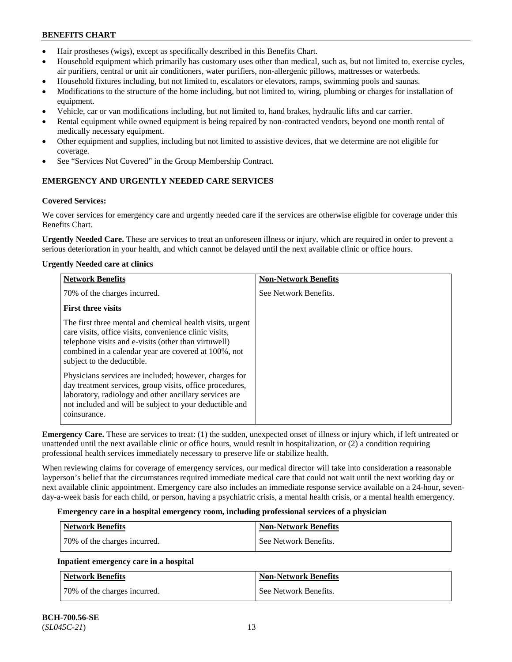- Hair prostheses (wigs), except as specifically described in this Benefits Chart.
- Household equipment which primarily has customary uses other than medical, such as, but not limited to, exercise cycles, air purifiers, central or unit air conditioners, water purifiers, non-allergenic pillows, mattresses or waterbeds.
- Household fixtures including, but not limited to, escalators or elevators, ramps, swimming pools and saunas.
- Modifications to the structure of the home including, but not limited to, wiring, plumbing or charges for installation of equipment.
- Vehicle, car or van modifications including, but not limited to, hand brakes, hydraulic lifts and car carrier.
- Rental equipment while owned equipment is being repaired by non-contracted vendors, beyond one month rental of medically necessary equipment.
- Other equipment and supplies, including but not limited to assistive devices, that we determine are not eligible for coverage.
- See "Services Not Covered" in the Group Membership Contract.

## **EMERGENCY AND URGENTLY NEEDED CARE SERVICES**

## **Covered Services:**

We cover services for emergency care and urgently needed care if the services are otherwise eligible for coverage under this Benefits Chart.

**Urgently Needed Care.** These are services to treat an unforeseen illness or injury, which are required in order to prevent a serious deterioration in your health, and which cannot be delayed until the next available clinic or office hours.

## **Urgently Needed care at clinics**

| <b>Network Benefits</b>                                                                                                                                                                                                                                           | <b>Non-Network Benefits</b> |
|-------------------------------------------------------------------------------------------------------------------------------------------------------------------------------------------------------------------------------------------------------------------|-----------------------------|
| 70% of the charges incurred.                                                                                                                                                                                                                                      | See Network Benefits.       |
| <b>First three visits</b>                                                                                                                                                                                                                                         |                             |
| The first three mental and chemical health visits, urgent<br>care visits, office visits, convenience clinic visits,<br>telephone visits and e-visits (other than virtuwell)<br>combined in a calendar year are covered at 100%, not<br>subject to the deductible. |                             |
| Physicians services are included; however, charges for<br>day treatment services, group visits, office procedures,<br>laboratory, radiology and other ancillary services are<br>not included and will be subject to your deductible and<br>coinsurance.           |                             |

**Emergency Care.** These are services to treat: (1) the sudden, unexpected onset of illness or injury which, if left untreated or unattended until the next available clinic or office hours, would result in hospitalization, or (2) a condition requiring professional health services immediately necessary to preserve life or stabilize health.

When reviewing claims for coverage of emergency services, our medical director will take into consideration a reasonable layperson's belief that the circumstances required immediate medical care that could not wait until the next working day or next available clinic appointment. Emergency care also includes an immediate response service available on a 24-hour, sevenday-a-week basis for each child, or person, having a psychiatric crisis, a mental health crisis, or a mental health emergency.

### **Emergency care in a hospital emergency room, including professional services of a physician**

| Network Benefits             | <b>Non-Network Benefits</b> |
|------------------------------|-----------------------------|
| 70% of the charges incurred. | See Network Benefits.       |

## **Inpatient emergency care in a hospital**

| Network Benefits             | <b>Non-Network Benefits</b> |
|------------------------------|-----------------------------|
| 70% of the charges incurred. | See Network Benefits.       |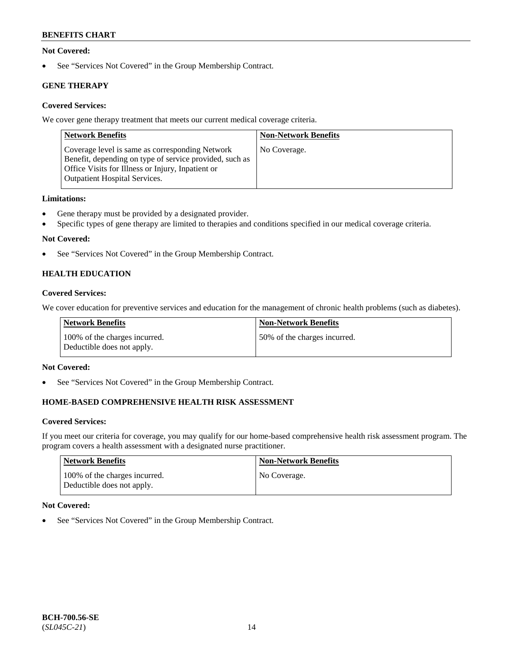### **Not Covered:**

• See "Services Not Covered" in the Group Membership Contract.

## **GENE THERAPY**

## **Covered Services:**

We cover gene therapy treatment that meets our current medical coverage criteria.

| <b>Network Benefits</b>                                                                                                                                                                                 | <b>Non-Network Benefits</b> |
|---------------------------------------------------------------------------------------------------------------------------------------------------------------------------------------------------------|-----------------------------|
| Coverage level is same as corresponding Network<br>Benefit, depending on type of service provided, such as<br>Office Visits for Illness or Injury, Inpatient or<br><b>Outpatient Hospital Services.</b> | No Coverage.                |

### **Limitations:**

- Gene therapy must be provided by a designated provider.
- Specific types of gene therapy are limited to therapies and conditions specified in our medical coverage criteria.

## **Not Covered:**

• See "Services Not Covered" in the Group Membership Contract.

## **HEALTH EDUCATION**

### **Covered Services:**

We cover education for preventive services and education for the management of chronic health problems (such as diabetes).

| Network Benefits                                            | <b>Non-Network Benefits</b>  |
|-------------------------------------------------------------|------------------------------|
| 100% of the charges incurred.<br>Deductible does not apply. | 50% of the charges incurred. |

### **Not Covered:**

• See "Services Not Covered" in the Group Membership Contract.

## **HOME-BASED COMPREHENSIVE HEALTH RISK ASSESSMENT**

### **Covered Services:**

If you meet our criteria for coverage, you may qualify for our home-based comprehensive health risk assessment program. The program covers a health assessment with a designated nurse practitioner.

| Network Benefits                                            | <b>Non-Network Benefits</b> |
|-------------------------------------------------------------|-----------------------------|
| 100% of the charges incurred.<br>Deductible does not apply. | No Coverage.                |

### **Not Covered:**

• See "Services Not Covered" in the Group Membership Contract.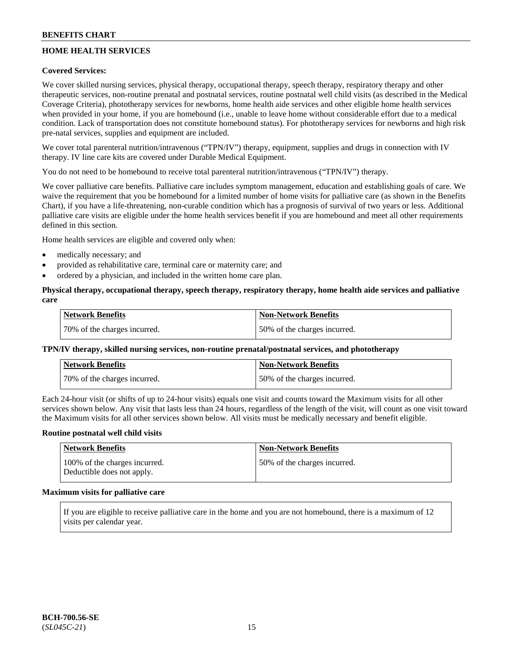## **HOME HEALTH SERVICES**

### **Covered Services:**

We cover skilled nursing services, physical therapy, occupational therapy, speech therapy, respiratory therapy and other therapeutic services, non-routine prenatal and postnatal services, routine postnatal well child visits (as described in the Medical Coverage Criteria), phototherapy services for newborns, home health aide services and other eligible home health services when provided in your home, if you are homebound (i.e., unable to leave home without considerable effort due to a medical condition. Lack of transportation does not constitute homebound status). For phototherapy services for newborns and high risk pre-natal services, supplies and equipment are included.

We cover total parenteral nutrition/intravenous ("TPN/IV") therapy, equipment, supplies and drugs in connection with IV therapy. IV line care kits are covered under Durable Medical Equipment.

You do not need to be homebound to receive total parenteral nutrition/intravenous ("TPN/IV") therapy.

We cover palliative care benefits. Palliative care includes symptom management, education and establishing goals of care. We waive the requirement that you be homebound for a limited number of home visits for palliative care (as shown in the Benefits Chart), if you have a life-threatening, non-curable condition which has a prognosis of survival of two years or less. Additional palliative care visits are eligible under the home health services benefit if you are homebound and meet all other requirements defined in this section.

Home health services are eligible and covered only when:

- medically necessary; and
- provided as rehabilitative care, terminal care or maternity care; and
- ordered by a physician, and included in the written home care plan.

### **Physical therapy, occupational therapy, speech therapy, respiratory therapy, home health aide services and palliative care**

| <b>Network Benefits</b>      | <b>Non-Network Benefits</b>  |
|------------------------------|------------------------------|
| 70% of the charges incurred. | 50% of the charges incurred. |

### **TPN/IV therapy, skilled nursing services, non-routine prenatal/postnatal services, and phototherapy**

| <b>Network Benefits</b>       | <b>Non-Network Benefits</b>  |
|-------------------------------|------------------------------|
| 170% of the charges incurred. | 50% of the charges incurred. |

Each 24-hour visit (or shifts of up to 24-hour visits) equals one visit and counts toward the Maximum visits for all other services shown below. Any visit that lasts less than 24 hours, regardless of the length of the visit, will count as one visit toward the Maximum visits for all other services shown below. All visits must be medically necessary and benefit eligible.

#### **Routine postnatal well child visits**

| Network Benefits                                            | <b>Non-Network Benefits</b>  |
|-------------------------------------------------------------|------------------------------|
| 100% of the charges incurred.<br>Deductible does not apply. | 50% of the charges incurred. |

## **Maximum visits for palliative care**

If you are eligible to receive palliative care in the home and you are not homebound, there is a maximum of 12 visits per calendar year.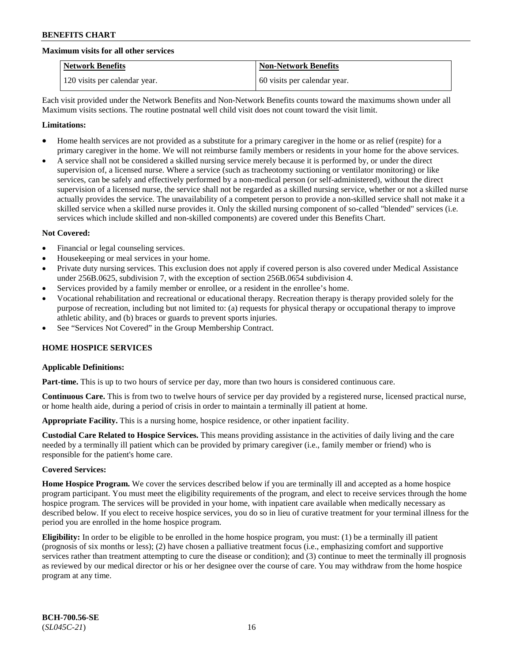#### **Maximum visits for all other services**

| <b>Network Benefits</b>       | <b>Non-Network Benefits</b>  |
|-------------------------------|------------------------------|
| 120 visits per calendar year. | 60 visits per calendar year. |

Each visit provided under the Network Benefits and Non-Network Benefits counts toward the maximums shown under all Maximum visits sections. The routine postnatal well child visit does not count toward the visit limit.

#### **Limitations:**

- Home health services are not provided as a substitute for a primary caregiver in the home or as relief (respite) for a primary caregiver in the home. We will not reimburse family members or residents in your home for the above services.
- A service shall not be considered a skilled nursing service merely because it is performed by, or under the direct supervision of, a licensed nurse. Where a service (such as tracheotomy suctioning or ventilator monitoring) or like services, can be safely and effectively performed by a non-medical person (or self-administered), without the direct supervision of a licensed nurse, the service shall not be regarded as a skilled nursing service, whether or not a skilled nurse actually provides the service. The unavailability of a competent person to provide a non-skilled service shall not make it a skilled service when a skilled nurse provides it. Only the skilled nursing component of so-called "blended" services (i.e. services which include skilled and non-skilled components) are covered under this Benefits Chart.

#### **Not Covered:**

- Financial or legal counseling services.
- Housekeeping or meal services in your home.
- Private duty nursing services. This exclusion does not apply if covered person is also covered under Medical Assistance under 256B.0625, subdivision 7, with the exception of section 256B.0654 subdivision 4.
- Services provided by a family member or enrollee, or a resident in the enrollee's home.
- Vocational rehabilitation and recreational or educational therapy. Recreation therapy is therapy provided solely for the purpose of recreation, including but not limited to: (a) requests for physical therapy or occupational therapy to improve athletic ability, and (b) braces or guards to prevent sports injuries.
- See "Services Not Covered" in the Group Membership Contract.

### **HOME HOSPICE SERVICES**

### **Applicable Definitions:**

**Part-time.** This is up to two hours of service per day, more than two hours is considered continuous care.

**Continuous Care.** This is from two to twelve hours of service per day provided by a registered nurse, licensed practical nurse, or home health aide, during a period of crisis in order to maintain a terminally ill patient at home.

**Appropriate Facility.** This is a nursing home, hospice residence, or other inpatient facility.

**Custodial Care Related to Hospice Services.** This means providing assistance in the activities of daily living and the care needed by a terminally ill patient which can be provided by primary caregiver (i.e., family member or friend) who is responsible for the patient's home care.

#### **Covered Services:**

**Home Hospice Program.** We cover the services described below if you are terminally ill and accepted as a home hospice program participant. You must meet the eligibility requirements of the program, and elect to receive services through the home hospice program. The services will be provided in your home, with inpatient care available when medically necessary as described below. If you elect to receive hospice services, you do so in lieu of curative treatment for your terminal illness for the period you are enrolled in the home hospice program.

**Eligibility:** In order to be eligible to be enrolled in the home hospice program, you must: (1) be a terminally ill patient (prognosis of six months or less); (2) have chosen a palliative treatment focus (i.e., emphasizing comfort and supportive services rather than treatment attempting to cure the disease or condition); and (3) continue to meet the terminally ill prognosis as reviewed by our medical director or his or her designee over the course of care. You may withdraw from the home hospice program at any time.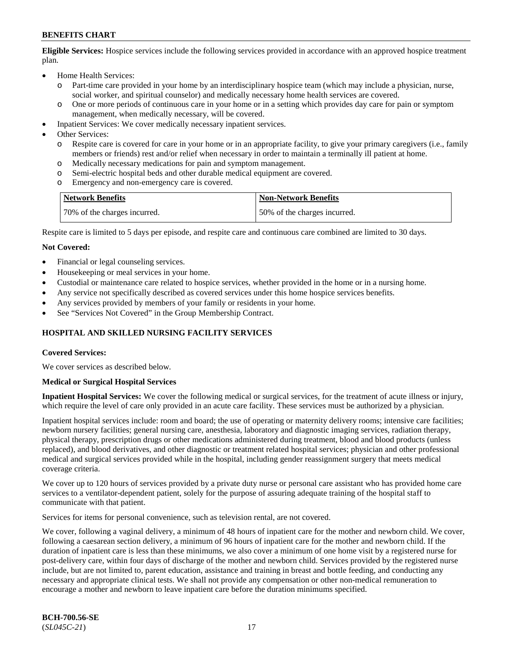**Eligible Services:** Hospice services include the following services provided in accordance with an approved hospice treatment plan.

- Home Health Services:
	- o Part-time care provided in your home by an interdisciplinary hospice team (which may include a physician, nurse, social worker, and spiritual counselor) and medically necessary home health services are covered.
	- o One or more periods of continuous care in your home or in a setting which provides day care for pain or symptom management, when medically necessary, will be covered.
- Inpatient Services: We cover medically necessary inpatient services.
- Other Services:
	- o Respite care is covered for care in your home or in an appropriate facility, to give your primary caregivers (i.e., family members or friends) rest and/or relief when necessary in order to maintain a terminally ill patient at home.
	- o Medically necessary medications for pain and symptom management.
	- Semi-electric hospital beds and other durable medical equipment are covered.
	- o Emergency and non-emergency care is covered.

| <b>Network Benefits</b>      | Non-Network Benefits         |
|------------------------------|------------------------------|
| 70% of the charges incurred. | 50% of the charges incurred. |

Respite care is limited to 5 days per episode, and respite care and continuous care combined are limited to 30 days.

#### **Not Covered:**

- Financial or legal counseling services.
- Housekeeping or meal services in your home.
- Custodial or maintenance care related to hospice services, whether provided in the home or in a nursing home.
- Any service not specifically described as covered services under this home hospice services benefits.
- Any services provided by members of your family or residents in your home.
- See "Services Not Covered" in the Group Membership Contract.

### **HOSPITAL AND SKILLED NURSING FACILITY SERVICES**

#### **Covered Services:**

We cover services as described below.

#### **Medical or Surgical Hospital Services**

**Inpatient Hospital Services:** We cover the following medical or surgical services, for the treatment of acute illness or injury, which require the level of care only provided in an acute care facility. These services must be authorized by a physician.

Inpatient hospital services include: room and board; the use of operating or maternity delivery rooms; intensive care facilities; newborn nursery facilities; general nursing care, anesthesia, laboratory and diagnostic imaging services, radiation therapy, physical therapy, prescription drugs or other medications administered during treatment, blood and blood products (unless replaced), and blood derivatives, and other diagnostic or treatment related hospital services; physician and other professional medical and surgical services provided while in the hospital, including gender reassignment surgery that meets medical coverage criteria.

We cover up to 120 hours of services provided by a private duty nurse or personal care assistant who has provided home care services to a ventilator-dependent patient, solely for the purpose of assuring adequate training of the hospital staff to communicate with that patient.

Services for items for personal convenience, such as television rental, are not covered.

We cover, following a vaginal delivery, a minimum of 48 hours of inpatient care for the mother and newborn child. We cover, following a caesarean section delivery, a minimum of 96 hours of inpatient care for the mother and newborn child. If the duration of inpatient care is less than these minimums, we also cover a minimum of one home visit by a registered nurse for post-delivery care, within four days of discharge of the mother and newborn child. Services provided by the registered nurse include, but are not limited to, parent education, assistance and training in breast and bottle feeding, and conducting any necessary and appropriate clinical tests. We shall not provide any compensation or other non-medical remuneration to encourage a mother and newborn to leave inpatient care before the duration minimums specified.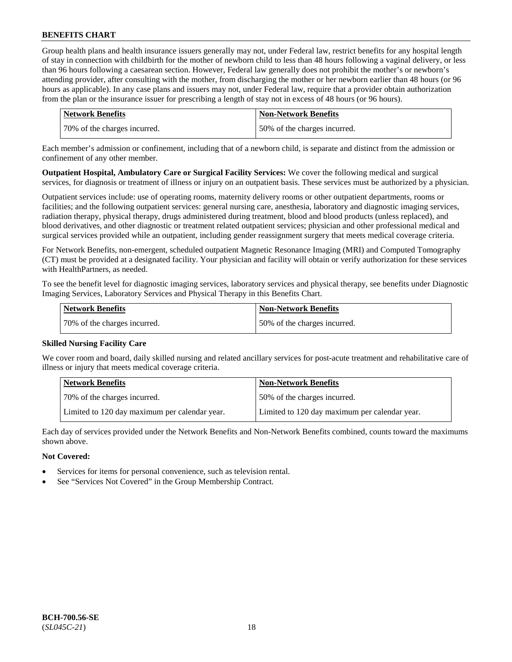Group health plans and health insurance issuers generally may not, under Federal law, restrict benefits for any hospital length of stay in connection with childbirth for the mother of newborn child to less than 48 hours following a vaginal delivery, or less than 96 hours following a caesarean section. However, Federal law generally does not prohibit the mother's or newborn's attending provider, after consulting with the mother, from discharging the mother or her newborn earlier than 48 hours (or 96 hours as applicable). In any case plans and issuers may not, under Federal law, require that a provider obtain authorization from the plan or the insurance issuer for prescribing a length of stay not in excess of 48 hours (or 96 hours).

| Network Benefits             | <b>Non-Network Benefits</b>  |
|------------------------------|------------------------------|
| 70% of the charges incurred. | 50% of the charges incurred. |

Each member's admission or confinement, including that of a newborn child, is separate and distinct from the admission or confinement of any other member.

**Outpatient Hospital, Ambulatory Care or Surgical Facility Services:** We cover the following medical and surgical services, for diagnosis or treatment of illness or injury on an outpatient basis. These services must be authorized by a physician.

Outpatient services include: use of operating rooms, maternity delivery rooms or other outpatient departments, rooms or facilities; and the following outpatient services: general nursing care, anesthesia, laboratory and diagnostic imaging services, radiation therapy, physical therapy, drugs administered during treatment, blood and blood products (unless replaced), and blood derivatives, and other diagnostic or treatment related outpatient services; physician and other professional medical and surgical services provided while an outpatient, including gender reassignment surgery that meets medical coverage criteria.

For Network Benefits, non-emergent, scheduled outpatient Magnetic Resonance Imaging (MRI) and Computed Tomography (CT) must be provided at a designated facility. Your physician and facility will obtain or verify authorization for these services with HealthPartners, as needed.

To see the benefit level for diagnostic imaging services, laboratory services and physical therapy, see benefits under Diagnostic Imaging Services, Laboratory Services and Physical Therapy in this Benefits Chart.

| Network Benefits             | Non-Network Benefits         |
|------------------------------|------------------------------|
| 70% of the charges incurred. | 50% of the charges incurred. |

### **Skilled Nursing Facility Care**

We cover room and board, daily skilled nursing and related ancillary services for post-acute treatment and rehabilitative care of illness or injury that meets medical coverage criteria.

| <b>Network Benefits</b>                       | <b>Non-Network Benefits</b>                   |
|-----------------------------------------------|-----------------------------------------------|
| 70% of the charges incurred.                  | 50% of the charges incurred.                  |
| Limited to 120 day maximum per calendar year. | Limited to 120 day maximum per calendar year. |

Each day of services provided under the Network Benefits and Non-Network Benefits combined, counts toward the maximums shown above.

#### **Not Covered:**

- Services for items for personal convenience, such as television rental.
- See "Services Not Covered" in the Group Membership Contract.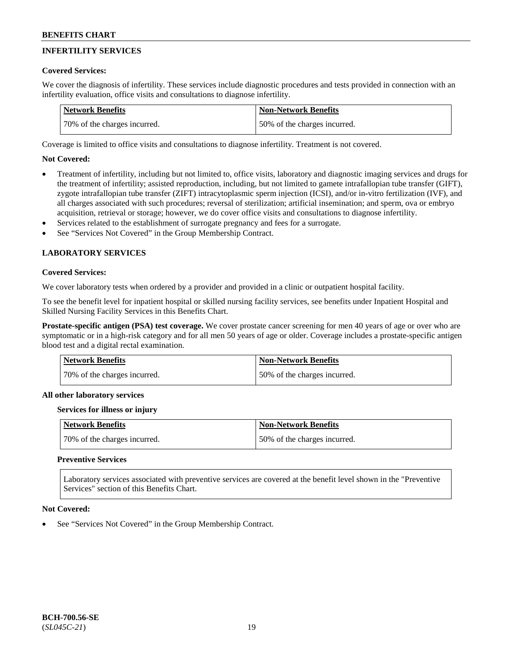## **INFERTILITY SERVICES**

### **Covered Services:**

We cover the diagnosis of infertility. These services include diagnostic procedures and tests provided in connection with an infertility evaluation, office visits and consultations to diagnose infertility.

| <b>Network Benefits</b>      | <b>Non-Network Benefits</b>  |
|------------------------------|------------------------------|
| 70% of the charges incurred. | 50% of the charges incurred. |

Coverage is limited to office visits and consultations to diagnose infertility. Treatment is not covered.

## **Not Covered:**

- Treatment of infertility, including but not limited to, office visits, laboratory and diagnostic imaging services and drugs for the treatment of infertility; assisted reproduction, including, but not limited to gamete intrafallopian tube transfer (GIFT), zygote intrafallopian tube transfer (ZIFT) intracytoplasmic sperm injection (ICSI), and/or in-vitro fertilization (IVF), and all charges associated with such procedures; reversal of sterilization; artificial insemination; and sperm, ova or embryo acquisition, retrieval or storage; however, we do cover office visits and consultations to diagnose infertility.
- Services related to the establishment of surrogate pregnancy and fees for a surrogate.
- See "Services Not Covered" in the Group Membership Contract.

## **LABORATORY SERVICES**

#### **Covered Services:**

We cover laboratory tests when ordered by a provider and provided in a clinic or outpatient hospital facility.

To see the benefit level for inpatient hospital or skilled nursing facility services, see benefits under Inpatient Hospital and Skilled Nursing Facility Services in this Benefits Chart.

**Prostate-specific antigen (PSA) test coverage.** We cover prostate cancer screening for men 40 years of age or over who are symptomatic or in a high-risk category and for all men 50 years of age or older. Coverage includes a prostate-specific antigen blood test and a digital rectal examination.

| <b>Network Benefits</b>      | <b>Non-Network Benefits</b>  |
|------------------------------|------------------------------|
| 70% of the charges incurred. | 50% of the charges incurred. |

#### **All other laboratory services**

#### **Services for illness or injury**

| Network Benefits             | <b>Non-Network Benefits</b>  |
|------------------------------|------------------------------|
| 70% of the charges incurred. | 50% of the charges incurred. |

### **Preventive Services**

Laboratory services associated with preventive services are covered at the benefit level shown in the "Preventive Services" section of this Benefits Chart.

#### **Not Covered:**

See "Services Not Covered" in the Group Membership Contract.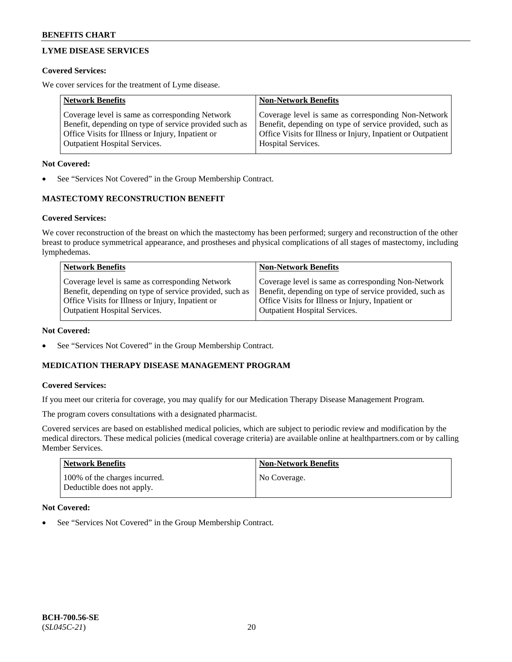## **LYME DISEASE SERVICES**

### **Covered Services:**

We cover services for the treatment of Lyme disease.

| <b>Network Benefits</b>                                | <b>Non-Network Benefits</b>                                  |
|--------------------------------------------------------|--------------------------------------------------------------|
| Coverage level is same as corresponding Network        | Coverage level is same as corresponding Non-Network          |
| Benefit, depending on type of service provided such as | Benefit, depending on type of service provided, such as      |
| Office Visits for Illness or Injury, Inpatient or      | Office Visits for Illness or Injury, Inpatient or Outpatient |
| <b>Outpatient Hospital Services.</b>                   | Hospital Services.                                           |

### **Not Covered:**

See "Services Not Covered" in the Group Membership Contract.

## **MASTECTOMY RECONSTRUCTION BENEFIT**

## **Covered Services:**

We cover reconstruction of the breast on which the mastectomy has been performed; surgery and reconstruction of the other breast to produce symmetrical appearance, and prostheses and physical complications of all stages of mastectomy, including lymphedemas.

| <b>Network Benefits</b>                                 | <b>Non-Network Benefits</b>                             |
|---------------------------------------------------------|---------------------------------------------------------|
| Coverage level is same as corresponding Network         | Coverage level is same as corresponding Non-Network     |
| Benefit, depending on type of service provided, such as | Benefit, depending on type of service provided, such as |
| Office Visits for Illness or Injury, Inpatient or       | Office Visits for Illness or Injury, Inpatient or       |
| <b>Outpatient Hospital Services.</b>                    | Outpatient Hospital Services.                           |

### **Not Covered:**

See "Services Not Covered" in the Group Membership Contract.

## **MEDICATION THERAPY DISEASE MANAGEMENT PROGRAM**

### **Covered Services:**

If you meet our criteria for coverage, you may qualify for our Medication Therapy Disease Management Program.

The program covers consultations with a designated pharmacist.

Covered services are based on established medical policies, which are subject to periodic review and modification by the medical directors. These medical policies (medical coverage criteria) are available online at [healthpartners.com](https://www.healthpartners.com/hp/index.html) or by calling Member Services.

| <b>Network Benefits</b>                                     | Non-Network Benefits |
|-------------------------------------------------------------|----------------------|
| 100% of the charges incurred.<br>Deductible does not apply. | No Coverage.         |

### **Not Covered:**

See "Services Not Covered" in the Group Membership Contract.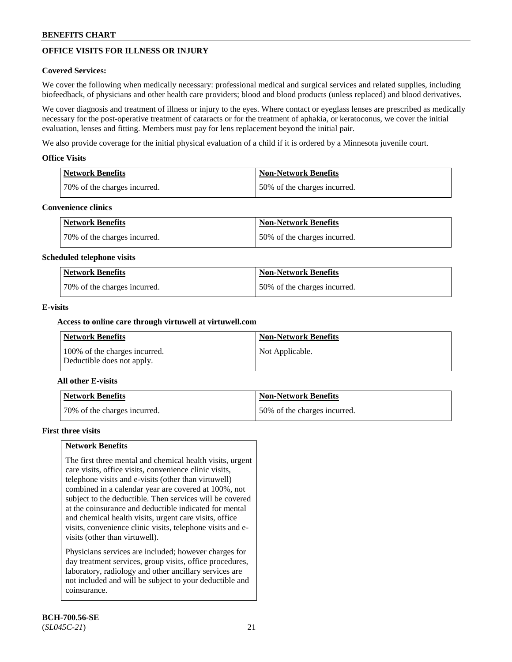## **OFFICE VISITS FOR ILLNESS OR INJURY**

### **Covered Services:**

We cover the following when medically necessary: professional medical and surgical services and related supplies, including biofeedback, of physicians and other health care providers; blood and blood products (unless replaced) and blood derivatives.

We cover diagnosis and treatment of illness or injury to the eyes. Where contact or eyeglass lenses are prescribed as medically necessary for the post-operative treatment of cataracts or for the treatment of aphakia, or keratoconus, we cover the initial evaluation, lenses and fitting. Members must pay for lens replacement beyond the initial pair.

We also provide coverage for the initial physical evaluation of a child if it is ordered by a Minnesota juvenile court.

### **Office Visits**

| <b>Network Benefits</b>      | <b>Non-Network Benefits</b>  |
|------------------------------|------------------------------|
| 70% of the charges incurred. | 50% of the charges incurred. |

#### **Convenience clinics**

| <b>Network Benefits</b>      | Non-Network Benefits         |
|------------------------------|------------------------------|
| 70% of the charges incurred. | 50% of the charges incurred. |

#### **Scheduled telephone visits**

| <b>Network Benefits</b>      | Non-Network Benefits         |
|------------------------------|------------------------------|
| 70% of the charges incurred. | 50% of the charges incurred. |

### **E-visits**

### **Access to online care through virtuwell at [virtuwell.com](https://www.virtuwell.com/)**

| Network Benefits                                            | <b>Non-Network Benefits</b> |
|-------------------------------------------------------------|-----------------------------|
| 100% of the charges incurred.<br>Deductible does not apply. | Not Applicable.             |

### **All other E-visits**

| Network Benefits             | <b>Non-Network Benefits</b>  |
|------------------------------|------------------------------|
| 70% of the charges incurred. | 50% of the charges incurred. |

#### **First three visits**

### **Network Benefits**

The first three mental and chemical health visits, urgent care visits, office visits, convenience clinic visits, telephone visits and e-visits (other than virtuwell) combined in a calendar year are covered at 100%, not subject to the deductible. Then services will be covered at the coinsurance and deductible indicated for mental and chemical health visits, urgent care visits, office visits, convenience clinic visits, telephone visits and evisits (other than virtuwell).

Physicians services are included; however charges for day treatment services, group visits, office procedures, laboratory, radiology and other ancillary services are not included and will be subject to your deductible and coinsurance.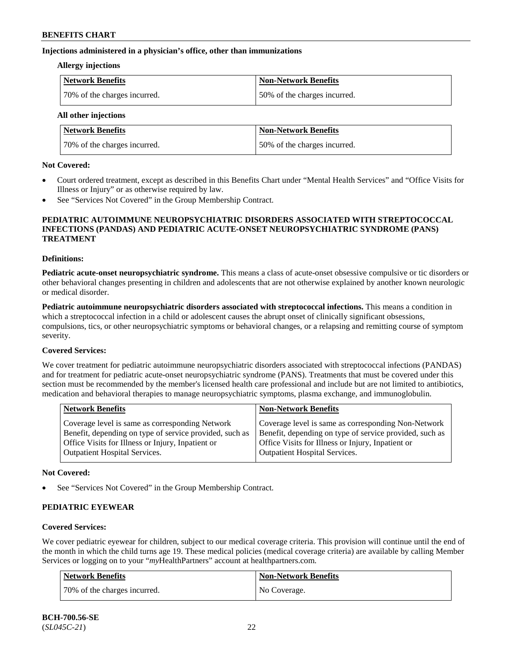#### **Injections administered in a physician's office, other than immunizations**

#### **Allergy injections**

| Network Benefits             | <b>Non-Network Benefits</b>  |
|------------------------------|------------------------------|
| 70% of the charges incurred. | 50% of the charges incurred. |

**All other injections**

| <b>Network Benefits</b>      | <b>Non-Network Benefits</b>  |
|------------------------------|------------------------------|
| 70% of the charges incurred. | 50% of the charges incurred. |

#### **Not Covered:**

- Court ordered treatment, except as described in this Benefits Chart under "Mental Health Services" and "Office Visits for Illness or Injury" or as otherwise required by law.
- See "Services Not Covered" in the Group Membership Contract.

#### **PEDIATRIC AUTOIMMUNE NEUROPSYCHIATRIC DISORDERS ASSOCIATED WITH STREPTOCOCCAL INFECTIONS (PANDAS) AND PEDIATRIC ACUTE-ONSET NEUROPSYCHIATRIC SYNDROME (PANS) TREATMENT**

#### **Definitions:**

**Pediatric acute-onset neuropsychiatric syndrome.** This means a class of acute-onset obsessive compulsive or tic disorders or other behavioral changes presenting in children and adolescents that are not otherwise explained by another known neurologic or medical disorder.

**Pediatric autoimmune neuropsychiatric disorders associated with streptococcal infections.** This means a condition in which a streptococcal infection in a child or adolescent causes the abrupt onset of clinically significant obsessions, compulsions, tics, or other neuropsychiatric symptoms or behavioral changes, or a relapsing and remitting course of symptom severity.

### **Covered Services:**

We cover treatment for pediatric autoimmune neuropsychiatric disorders associated with streptococcal infections (PANDAS) and for treatment for pediatric acute-onset neuropsychiatric syndrome (PANS). Treatments that must be covered under this section must be recommended by the member's licensed health care professional and include but are not limited to antibiotics, medication and behavioral therapies to manage neuropsychiatric symptoms, plasma exchange, and immunoglobulin.

|                                                                                                                                                                                                                                                                                                              | <b>Network Benefits</b><br><b>Non-Network Benefits</b>                                                 |  |
|--------------------------------------------------------------------------------------------------------------------------------------------------------------------------------------------------------------------------------------------------------------------------------------------------------------|--------------------------------------------------------------------------------------------------------|--|
| Benefit, depending on type of service provided, such as<br>Benefit, depending on type of service provided, such as<br>Office Visits for Illness or Injury, Inpatient or<br>Office Visits for Illness or Injury, Inpatient or<br><b>Outpatient Hospital Services.</b><br><b>Outpatient Hospital Services.</b> | Coverage level is same as corresponding Non-Network<br>Coverage level is same as corresponding Network |  |

#### **Not Covered:**

See "Services Not Covered" in the Group Membership Contract.

### **PEDIATRIC EYEWEAR**

### **Covered Services:**

We cover pediatric eyewear for children, subject to our medical coverage criteria. This provision will continue until the end of the month in which the child turns age 19. These medical policies (medical coverage criteria) are available by calling Member Services or logging on to your "*my*HealthPartners" account at [healthpartners.com.](https://www.healthpartners.com/hp/index.html)

| Network Benefits             | <b>Non-Network Benefits</b> |
|------------------------------|-----------------------------|
| 70% of the charges incurred. | No Coverage.                |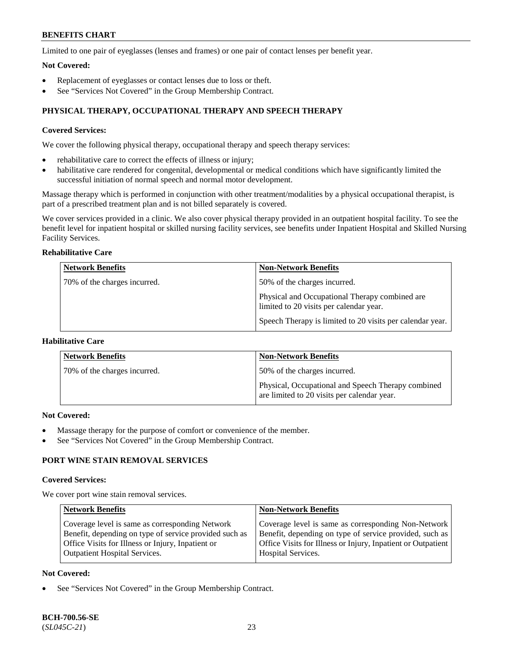Limited to one pair of eyeglasses (lenses and frames) or one pair of contact lenses per benefit year.

#### **Not Covered:**

- Replacement of eyeglasses or contact lenses due to loss or theft.
- See "Services Not Covered" in the Group Membership Contract.

## **PHYSICAL THERAPY, OCCUPATIONAL THERAPY AND SPEECH THERAPY**

### **Covered Services:**

We cover the following physical therapy, occupational therapy and speech therapy services:

- rehabilitative care to correct the effects of illness or injury;
- habilitative care rendered for congenital, developmental or medical conditions which have significantly limited the successful initiation of normal speech and normal motor development.

Massage therapy which is performed in conjunction with other treatment/modalities by a physical occupational therapist, is part of a prescribed treatment plan and is not billed separately is covered.

We cover services provided in a clinic. We also cover physical therapy provided in an outpatient hospital facility. To see the benefit level for inpatient hospital or skilled nursing facility services, see benefits under Inpatient Hospital and Skilled Nursing Facility Services.

## **Rehabilitative Care**

| <b>Network Benefits</b>      | <b>Non-Network Benefits</b>                                                               |
|------------------------------|-------------------------------------------------------------------------------------------|
| 70% of the charges incurred. | 50% of the charges incurred.                                                              |
|                              | Physical and Occupational Therapy combined are<br>limited to 20 visits per calendar year. |
|                              | Speech Therapy is limited to 20 visits per calendar year.                                 |

## **Habilitative Care**

| <b>Network Benefits</b>      | <b>Non-Network Benefits</b>                                                                       |
|------------------------------|---------------------------------------------------------------------------------------------------|
| 70% of the charges incurred. | 50% of the charges incurred.                                                                      |
|                              | Physical, Occupational and Speech Therapy combined<br>are limited to 20 visits per calendar year. |

#### **Not Covered:**

- Massage therapy for the purpose of comfort or convenience of the member.
- See "Services Not Covered" in the Group Membership Contract.

## **PORT WINE STAIN REMOVAL SERVICES**

#### **Covered Services:**

We cover port wine stain removal services.

| <b>Network Benefits</b>                                                                                                                                                                                | <b>Non-Network Benefits</b>                                                                                                                                                                                   |
|--------------------------------------------------------------------------------------------------------------------------------------------------------------------------------------------------------|---------------------------------------------------------------------------------------------------------------------------------------------------------------------------------------------------------------|
| Coverage level is same as corresponding Network<br>Benefit, depending on type of service provided such as<br>Office Visits for Illness or Injury, Inpatient or<br><b>Outpatient Hospital Services.</b> | Coverage level is same as corresponding Non-Network<br>Benefit, depending on type of service provided, such as<br>Office Visits for Illness or Injury, Inpatient or Outpatient  <br><b>Hospital Services.</b> |
|                                                                                                                                                                                                        |                                                                                                                                                                                                               |

### **Not Covered:**

See "Services Not Covered" in the Group Membership Contract.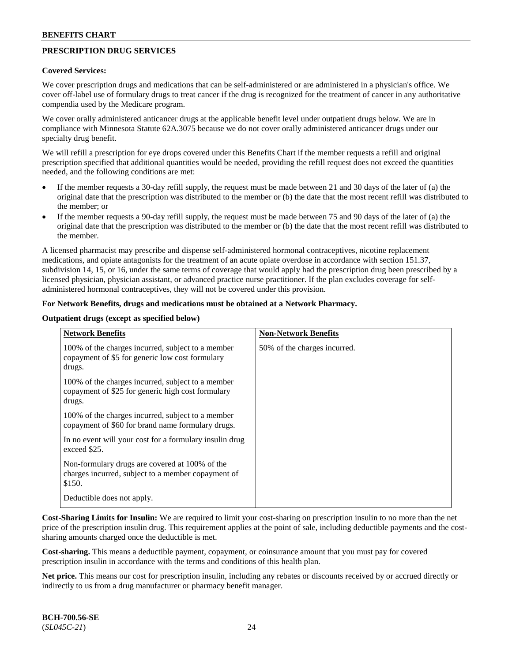## **PRESCRIPTION DRUG SERVICES**

#### **Covered Services:**

We cover prescription drugs and medications that can be self-administered or are administered in a physician's office. We cover off-label use of formulary drugs to treat cancer if the drug is recognized for the treatment of cancer in any authoritative compendia used by the Medicare program.

We cover orally administered anticancer drugs at the applicable benefit level under outpatient drugs below. We are in compliance with Minnesota Statute 62A.3075 because we do not cover orally administered anticancer drugs under our specialty drug benefit.

We will refill a prescription for eye drops covered under this Benefits Chart if the member requests a refill and original prescription specified that additional quantities would be needed, providing the refill request does not exceed the quantities needed, and the following conditions are met:

- If the member requests a 30-day refill supply, the request must be made between 21 and 30 days of the later of (a) the original date that the prescription was distributed to the member or (b) the date that the most recent refill was distributed to the member; or
- If the member requests a 90-day refill supply, the request must be made between 75 and 90 days of the later of (a) the original date that the prescription was distributed to the member or (b) the date that the most recent refill was distributed to the member.

A licensed pharmacist may prescribe and dispense self-administered hormonal contraceptives, nicotine replacement medications, and opiate antagonists for the treatment of an acute opiate overdose in accordance with section 151.37, subdivision 14, 15, or 16, under the same terms of coverage that would apply had the prescription drug been prescribed by a licensed physician, physician assistant, or advanced practice nurse practitioner. If the plan excludes coverage for selfadministered hormonal contraceptives, they will not be covered under this provision.

#### **For Network Benefits, drugs and medications must be obtained at a Network Pharmacy.**

#### **Outpatient drugs (except as specified below)**

| <b>Network Benefits</b>                                                                                          | <b>Non-Network Benefits</b>  |
|------------------------------------------------------------------------------------------------------------------|------------------------------|
| 100% of the charges incurred, subject to a member<br>copayment of \$5 for generic low cost formulary<br>drugs.   | 50% of the charges incurred. |
| 100% of the charges incurred, subject to a member<br>copayment of \$25 for generic high cost formulary<br>drugs. |                              |
| 100% of the charges incurred, subject to a member<br>copayment of \$60 for brand name formulary drugs.           |                              |
| In no event will your cost for a formulary insulin drug<br>exceed \$25.                                          |                              |
| Non-formulary drugs are covered at 100% of the<br>charges incurred, subject to a member copayment of<br>\$150.   |                              |
| Deductible does not apply.                                                                                       |                              |

**Cost-Sharing Limits for Insulin:** We are required to limit your cost-sharing on prescription insulin to no more than the net price of the prescription insulin drug. This requirement applies at the point of sale, including deductible payments and the costsharing amounts charged once the deductible is met.

**Cost-sharing.** This means a deductible payment, copayment, or coinsurance amount that you must pay for covered prescription insulin in accordance with the terms and conditions of this health plan.

**Net price.** This means our cost for prescription insulin, including any rebates or discounts received by or accrued directly or indirectly to us from a drug manufacturer or pharmacy benefit manager.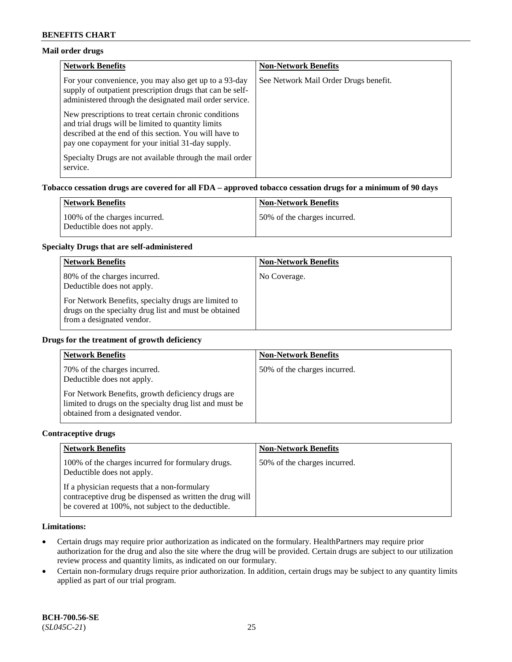### **Mail order drugs**

| <b>Network Benefits</b>                                                                                                                                                                                                    | <b>Non-Network Benefits</b>           |
|----------------------------------------------------------------------------------------------------------------------------------------------------------------------------------------------------------------------------|---------------------------------------|
| For your convenience, you may also get up to a 93-day<br>supply of outpatient prescription drugs that can be self-<br>administered through the designated mail order service.                                              | See Network Mail Order Drugs benefit. |
| New prescriptions to treat certain chronic conditions<br>and trial drugs will be limited to quantity limits<br>described at the end of this section. You will have to<br>pay one copayment for your initial 31-day supply. |                                       |
| Specialty Drugs are not available through the mail order<br>service.                                                                                                                                                       |                                       |

#### **Tobacco cessation drugs are covered for all FDA – approved tobacco cessation drugs for a minimum of 90 days**

| Network Benefits                                            | <b>Non-Network Benefits</b>   |
|-------------------------------------------------------------|-------------------------------|
| 100% of the charges incurred.<br>Deductible does not apply. | 150% of the charges incurred. |

#### **Specialty Drugs that are self-administered**

| <b>Network Benefits</b>                                                                                                                    | <b>Non-Network Benefits</b> |
|--------------------------------------------------------------------------------------------------------------------------------------------|-----------------------------|
| 80% of the charges incurred.<br>Deductible does not apply.                                                                                 | No Coverage.                |
| For Network Benefits, specialty drugs are limited to<br>drugs on the specialty drug list and must be obtained<br>from a designated vendor. |                             |

#### **Drugs for the treatment of growth deficiency**

| <b>Network Benefits</b>                                                                                                                            | <b>Non-Network Benefits</b>  |
|----------------------------------------------------------------------------------------------------------------------------------------------------|------------------------------|
| 70% of the charges incurred.<br>Deductible does not apply.                                                                                         | 50% of the charges incurred. |
| For Network Benefits, growth deficiency drugs are<br>limited to drugs on the specialty drug list and must be<br>obtained from a designated vendor. |                              |

#### **Contraceptive drugs**

| <b>Network Benefits</b>                                                                                                                                        | <b>Non-Network Benefits</b>  |
|----------------------------------------------------------------------------------------------------------------------------------------------------------------|------------------------------|
| 100% of the charges incurred for formulary drugs.<br>Deductible does not apply.                                                                                | 50% of the charges incurred. |
| If a physician requests that a non-formulary<br>contraceptive drug be dispensed as written the drug will<br>be covered at 100%, not subject to the deductible. |                              |

### **Limitations:**

- Certain drugs may require prior authorization as indicated on the formulary. HealthPartners may require prior authorization for the drug and also the site where the drug will be provided. Certain drugs are subject to our utilization review process and quantity limits, as indicated on our formulary.
- Certain non-formulary drugs require prior authorization. In addition, certain drugs may be subject to any quantity limits applied as part of our trial program.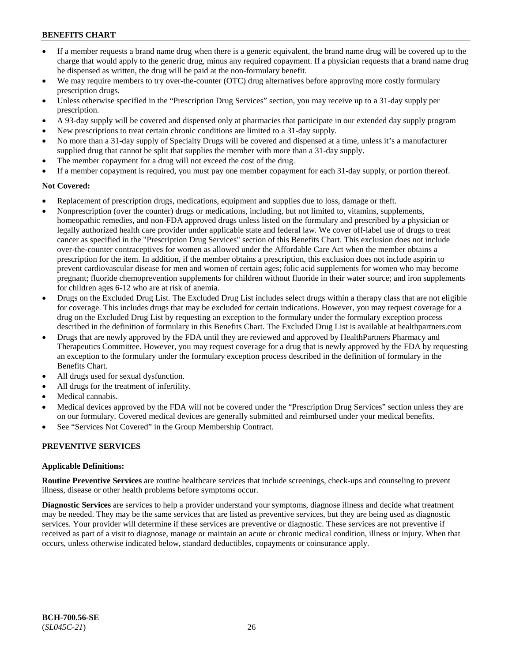- If a member requests a brand name drug when there is a generic equivalent, the brand name drug will be covered up to the charge that would apply to the generic drug, minus any required copayment. If a physician requests that a brand name drug be dispensed as written, the drug will be paid at the non-formulary benefit.
- We may require members to try over-the-counter (OTC) drug alternatives before approving more costly formulary prescription drugs.
- Unless otherwise specified in the "Prescription Drug Services" section, you may receive up to a 31-day supply per prescription.
- A 93-day supply will be covered and dispensed only at pharmacies that participate in our extended day supply program
- New prescriptions to treat certain chronic conditions are limited to a 31-day supply.
- No more than a 31-day supply of Specialty Drugs will be covered and dispensed at a time, unless it's a manufacturer supplied drug that cannot be split that supplies the member with more than a 31-day supply.
- The member copayment for a drug will not exceed the cost of the drug.
- If a member copayment is required, you must pay one member copayment for each 31-day supply, or portion thereof.

## **Not Covered:**

- Replacement of prescription drugs, medications, equipment and supplies due to loss, damage or theft.
- Nonprescription (over the counter) drugs or medications, including, but not limited to, vitamins, supplements, homeopathic remedies, and non-FDA approved drugs unless listed on the formulary and prescribed by a physician or legally authorized health care provider under applicable state and federal law. We cover off-label use of drugs to treat cancer as specified in the "Prescription Drug Services" section of this Benefits Chart. This exclusion does not include over-the-counter contraceptives for women as allowed under the Affordable Care Act when the member obtains a prescription for the item. In addition, if the member obtains a prescription, this exclusion does not include aspirin to prevent cardiovascular disease for men and women of certain ages; folic acid supplements for women who may become pregnant; fluoride chemoprevention supplements for children without fluoride in their water source; and iron supplements for children ages 6-12 who are at risk of anemia.
- Drugs on the Excluded Drug List. The Excluded Drug List includes select drugs within a therapy class that are not eligible for coverage. This includes drugs that may be excluded for certain indications. However, you may request coverage for a drug on the Excluded Drug List by requesting an exception to the formulary under the formulary exception process described in the definition of formulary in this Benefits Chart. The Excluded Drug List is available at [healthpartners.com](http://www.healthpartners.com/)
- Drugs that are newly approved by the FDA until they are reviewed and approved by HealthPartners Pharmacy and Therapeutics Committee. However, you may request coverage for a drug that is newly approved by the FDA by requesting an exception to the formulary under the formulary exception process described in the definition of formulary in the Benefits Chart.
- All drugs used for sexual dysfunction.
- All drugs for the treatment of infertility.
- Medical cannabis.
- Medical devices approved by the FDA will not be covered under the "Prescription Drug Services" section unless they are on our formulary. Covered medical devices are generally submitted and reimbursed under your medical benefits.
- See "Services Not Covered" in the Group Membership Contract.

## **PREVENTIVE SERVICES**

### **Applicable Definitions:**

**Routine Preventive Services** are routine healthcare services that include screenings, check-ups and counseling to prevent illness, disease or other health problems before symptoms occur.

**Diagnostic Services** are services to help a provider understand your symptoms, diagnose illness and decide what treatment may be needed. They may be the same services that are listed as preventive services, but they are being used as diagnostic services. Your provider will determine if these services are preventive or diagnostic. These services are not preventive if received as part of a visit to diagnose, manage or maintain an acute or chronic medical condition, illness or injury. When that occurs, unless otherwise indicated below, standard deductibles, copayments or coinsurance apply.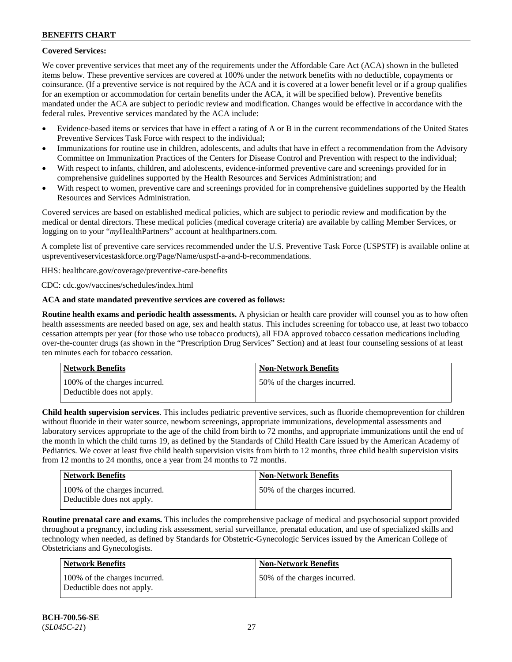## **Covered Services:**

We cover preventive services that meet any of the requirements under the Affordable Care Act (ACA) shown in the bulleted items below. These preventive services are covered at 100% under the network benefits with no deductible, copayments or coinsurance. (If a preventive service is not required by the ACA and it is covered at a lower benefit level or if a group qualifies for an exemption or accommodation for certain benefits under the ACA, it will be specified below). Preventive benefits mandated under the ACA are subject to periodic review and modification. Changes would be effective in accordance with the federal rules. Preventive services mandated by the ACA include:

- Evidence-based items or services that have in effect a rating of A or B in the current recommendations of the United States Preventive Services Task Force with respect to the individual;
- Immunizations for routine use in children, adolescents, and adults that have in effect a recommendation from the Advisory Committee on Immunization Practices of the Centers for Disease Control and Prevention with respect to the individual;
- With respect to infants, children, and adolescents, evidence-informed preventive care and screenings provided for in comprehensive guidelines supported by the Health Resources and Services Administration; and
- With respect to women, preventive care and screenings provided for in comprehensive guidelines supported by the Health Resources and Services Administration.

Covered services are based on established medical policies, which are subject to periodic review and modification by the medical or dental directors. These medical policies (medical coverage criteria) are available by calling Member Services, or logging on to your "*my*HealthPartners" account at [healthpartners.com.](http://www.healthpartners.com/)

A complete list of preventive care services recommended under the U.S. Preventive Task Force (USPSTF) is available online at [uspreventiveservicestaskforce.org/Page/Name/uspstf-a-and-b-recommendations.](https://www.uspreventiveservicestaskforce.org/Page/Name/uspstf-a-and-b-recommendations-by-date/)

HHS: [healthcare.gov/coverage/preventive-care-benefits](https://www.healthcare.gov/coverage/preventive-care-benefits/)

CDC: [cdc.gov/vaccines/schedules/index.html](https://www.cdc.gov/vaccines/schedules/index.html)

### **ACA and state mandated preventive services are covered as follows:**

**Routine health exams and periodic health assessments.** A physician or health care provider will counsel you as to how often health assessments are needed based on age, sex and health status. This includes screening for tobacco use, at least two tobacco cessation attempts per year (for those who use tobacco products), all FDA approved tobacco cessation medications including over-the-counter drugs (as shown in the "Prescription Drug Services" Section) and at least four counseling sessions of at least ten minutes each for tobacco cessation.

| Network Benefits                                            | <b>Non-Network Benefits</b>  |
|-------------------------------------------------------------|------------------------------|
| 100% of the charges incurred.<br>Deductible does not apply. | 50% of the charges incurred. |

**Child health supervision services**. This includes pediatric preventive services, such as fluoride chemoprevention for children without fluoride in their water source, newborn screenings, appropriate immunizations, developmental assessments and laboratory services appropriate to the age of the child from birth to 72 months, and appropriate immunizations until the end of the month in which the child turns 19, as defined by the Standards of Child Health Care issued by the American Academy of Pediatrics. We cover at least five child health supervision visits from birth to 12 months, three child health supervision visits from 12 months to 24 months, once a year from 24 months to 72 months.

| <b>Network Benefits</b>                                     | <b>Non-Network Benefits</b>  |
|-------------------------------------------------------------|------------------------------|
| 100% of the charges incurred.<br>Deductible does not apply. | 50% of the charges incurred. |

**Routine prenatal care and exams.** This includes the comprehensive package of medical and psychosocial support provided throughout a pregnancy, including risk assessment, serial surveillance, prenatal education, and use of specialized skills and technology when needed, as defined by Standards for Obstetric-Gynecologic Services issued by the American College of Obstetricians and Gynecologists.

| Network Benefits                                            | <b>Non-Network Benefits</b>  |
|-------------------------------------------------------------|------------------------------|
| 100% of the charges incurred.<br>Deductible does not apply. | 50% of the charges incurred. |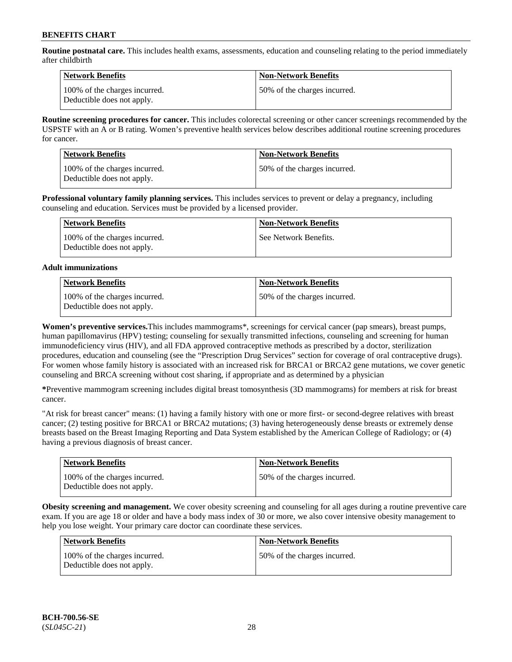**Routine postnatal care.** This includes health exams, assessments, education and counseling relating to the period immediately after childbirth

| Network Benefits                                            | <b>Non-Network Benefits</b>  |
|-------------------------------------------------------------|------------------------------|
| 100% of the charges incurred.<br>Deductible does not apply. | 50% of the charges incurred. |

**Routine screening procedures for cancer.** This includes colorectal screening or other cancer screenings recommended by the USPSTF with an A or B rating. Women's preventive health services below describes additional routine screening procedures for cancer.

| <b>Network Benefits</b>                                     | <b>Non-Network Benefits</b>  |
|-------------------------------------------------------------|------------------------------|
| 100% of the charges incurred.<br>Deductible does not apply. | 50% of the charges incurred. |

**Professional voluntary family planning services.** This includes services to prevent or delay a pregnancy, including counseling and education. Services must be provided by a licensed provider.

| Network Benefits                                            | <b>Non-Network Benefits</b> |
|-------------------------------------------------------------|-----------------------------|
| 100% of the charges incurred.<br>Deductible does not apply. | See Network Benefits.       |

### **Adult immunizations**

| <b>Network Benefits</b>                                     | <b>Non-Network Benefits</b>   |
|-------------------------------------------------------------|-------------------------------|
| 100% of the charges incurred.<br>Deductible does not apply. | 150% of the charges incurred. |

**Women's preventive services.**This includes mammograms\*, screenings for cervical cancer (pap smears), breast pumps, human papillomavirus (HPV) testing; counseling for sexually transmitted infections, counseling and screening for human immunodeficiency virus (HIV), and all FDA approved contraceptive methods as prescribed by a doctor, sterilization procedures, education and counseling (see the "Prescription Drug Services" section for coverage of oral contraceptive drugs). For women whose family history is associated with an increased risk for BRCA1 or BRCA2 gene mutations, we cover genetic counseling and BRCA screening without cost sharing, if appropriate and as determined by a physician

**\***Preventive mammogram screening includes digital breast tomosynthesis (3D mammograms) for members at risk for breast cancer.

"At risk for breast cancer" means: (1) having a family history with one or more first- or second-degree relatives with breast cancer; (2) testing positive for BRCA1 or BRCA2 mutations; (3) having heterogeneously dense breasts or extremely dense breasts based on the Breast Imaging Reporting and Data System established by the American College of Radiology; or (4) having a previous diagnosis of breast cancer.

| <b>Network Benefits</b>                                     | <b>Non-Network Benefits</b>  |
|-------------------------------------------------------------|------------------------------|
| 100% of the charges incurred.<br>Deductible does not apply. | 50% of the charges incurred. |

**Obesity screening and management.** We cover obesity screening and counseling for all ages during a routine preventive care exam. If you are age 18 or older and have a body mass index of 30 or more, we also cover intensive obesity management to help you lose weight. Your primary care doctor can coordinate these services.

| Network Benefits                                            | <b>Non-Network Benefits</b>  |
|-------------------------------------------------------------|------------------------------|
| 100% of the charges incurred.<br>Deductible does not apply. | 50% of the charges incurred. |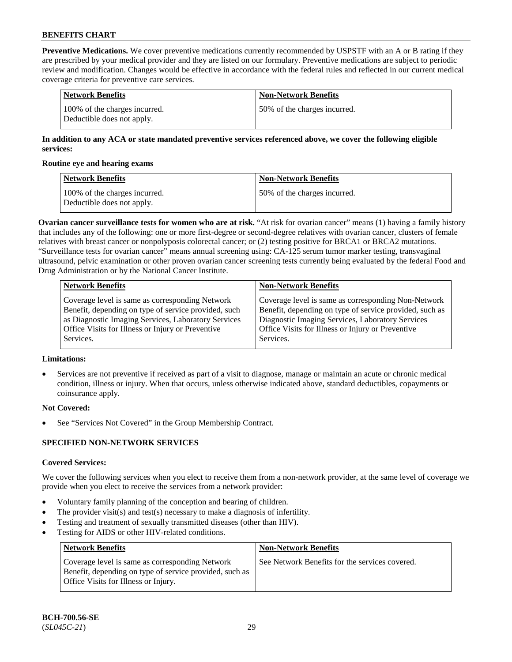**Preventive Medications.** We cover preventive medications currently recommended by USPSTF with an A or B rating if they are prescribed by your medical provider and they are listed on our formulary. Preventive medications are subject to periodic review and modification. Changes would be effective in accordance with the federal rules and reflected in our current medical coverage criteria for preventive care services.

| Network Benefits                                            | <b>Non-Network Benefits</b>  |
|-------------------------------------------------------------|------------------------------|
| 100% of the charges incurred.<br>Deductible does not apply. | 50% of the charges incurred. |

### **In addition to any ACA or state mandated preventive services referenced above, we cover the following eligible services:**

#### **Routine eye and hearing exams**

| <b>Network Benefits</b>                                     | <b>Non-Network Benefits</b>  |
|-------------------------------------------------------------|------------------------------|
| 100% of the charges incurred.<br>Deductible does not apply. | 50% of the charges incurred. |

**Ovarian cancer surveillance tests for women who are at risk.** "At risk for ovarian cancer" means (1) having a family history that includes any of the following: one or more first-degree or second-degree relatives with ovarian cancer, clusters of female relatives with breast cancer or nonpolyposis colorectal cancer; or (2) testing positive for BRCA1 or BRCA2 mutations. "Surveillance tests for ovarian cancer" means annual screening using: CA-125 serum tumor marker testing, transvaginal ultrasound, pelvic examination or other proven ovarian cancer screening tests currently being evaluated by the federal Food and Drug Administration or by the National Cancer Institute.

| <b>Network Benefits</b>                              | <b>Non-Network Benefits</b>                             |
|------------------------------------------------------|---------------------------------------------------------|
| Coverage level is same as corresponding Network      | Coverage level is same as corresponding Non-Network     |
| Benefit, depending on type of service provided, such | Benefit, depending on type of service provided, such as |
| as Diagnostic Imaging Services, Laboratory Services  | Diagnostic Imaging Services, Laboratory Services        |
| Office Visits for Illness or Injury or Preventive    | Office Visits for Illness or Injury or Preventive       |
| Services.                                            | Services.                                               |

## **Limitations:**

• Services are not preventive if received as part of a visit to diagnose, manage or maintain an acute or chronic medical condition, illness or injury. When that occurs, unless otherwise indicated above, standard deductibles, copayments or coinsurance apply.

### **Not Covered:**

See "Services Not Covered" in the Group Membership Contract.

### **SPECIFIED NON-NETWORK SERVICES**

### **Covered Services:**

We cover the following services when you elect to receive them from a non-network provider, at the same level of coverage we provide when you elect to receive the services from a network provider:

- Voluntary family planning of the conception and bearing of children.
- The provider visit(s) and test(s) necessary to make a diagnosis of infertility.
- Testing and treatment of sexually transmitted diseases (other than HIV).
- Testing for AIDS or other HIV-related conditions.

| <b>Network Benefits</b>                                                                                                                            | <b>Non-Network Benefits</b>                    |
|----------------------------------------------------------------------------------------------------------------------------------------------------|------------------------------------------------|
| Coverage level is same as corresponding Network<br>Benefit, depending on type of service provided, such as<br>Office Visits for Illness or Injury. | See Network Benefits for the services covered. |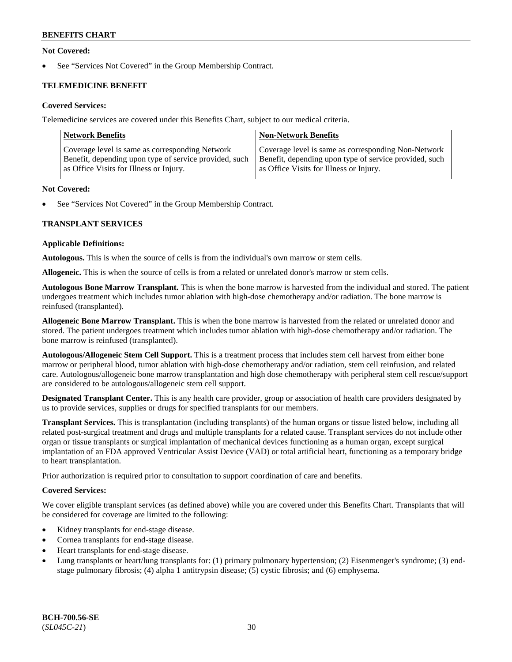### **Not Covered:**

See "Services Not Covered" in the Group Membership Contract.

## **TELEMEDICINE BENEFIT**

### **Covered Services:**

Telemedicine services are covered under this Benefits Chart, subject to our medical criteria.

| <b>Network Benefits</b>                                | <b>Non-Network Benefits</b>                            |
|--------------------------------------------------------|--------------------------------------------------------|
| Coverage level is same as corresponding Network        | Coverage level is same as corresponding Non-Network    |
| Benefit, depending upon type of service provided, such | Benefit, depending upon type of service provided, such |
| as Office Visits for Illness or Injury.                | as Office Visits for Illness or Injury.                |

#### **Not Covered:**

See "Services Not Covered" in the Group Membership Contract.

### **TRANSPLANT SERVICES**

#### **Applicable Definitions:**

**Autologous.** This is when the source of cells is from the individual's own marrow or stem cells.

**Allogeneic.** This is when the source of cells is from a related or unrelated donor's marrow or stem cells.

**Autologous Bone Marrow Transplant.** This is when the bone marrow is harvested from the individual and stored. The patient undergoes treatment which includes tumor ablation with high-dose chemotherapy and/or radiation. The bone marrow is reinfused (transplanted).

**Allogeneic Bone Marrow Transplant.** This is when the bone marrow is harvested from the related or unrelated donor and stored. The patient undergoes treatment which includes tumor ablation with high-dose chemotherapy and/or radiation. The bone marrow is reinfused (transplanted).

**Autologous/Allogeneic Stem Cell Support.** This is a treatment process that includes stem cell harvest from either bone marrow or peripheral blood, tumor ablation with high-dose chemotherapy and/or radiation, stem cell reinfusion, and related care. Autologous/allogeneic bone marrow transplantation and high dose chemotherapy with peripheral stem cell rescue/support are considered to be autologous/allogeneic stem cell support.

**Designated Transplant Center.** This is any health care provider, group or association of health care providers designated by us to provide services, supplies or drugs for specified transplants for our members.

**Transplant Services.** This is transplantation (including transplants) of the human organs or tissue listed below, including all related post-surgical treatment and drugs and multiple transplants for a related cause. Transplant services do not include other organ or tissue transplants or surgical implantation of mechanical devices functioning as a human organ, except surgical implantation of an FDA approved Ventricular Assist Device (VAD) or total artificial heart, functioning as a temporary bridge to heart transplantation.

Prior authorization is required prior to consultation to support coordination of care and benefits.

### **Covered Services:**

We cover eligible transplant services (as defined above) while you are covered under this Benefits Chart. Transplants that will be considered for coverage are limited to the following:

- Kidney transplants for end-stage disease.
- Cornea transplants for end-stage disease.
- Heart transplants for end-stage disease.
- Lung transplants or heart/lung transplants for: (1) primary pulmonary hypertension; (2) Eisenmenger's syndrome; (3) endstage pulmonary fibrosis; (4) alpha 1 antitrypsin disease; (5) cystic fibrosis; and (6) emphysema.